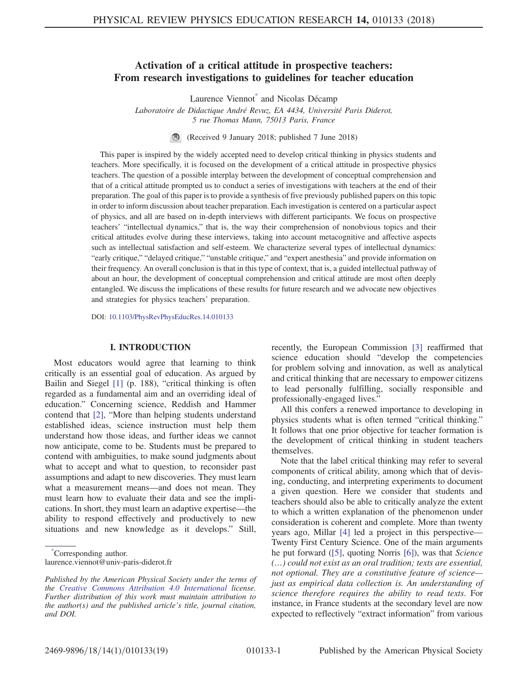# <span id="page-0-1"></span>Activation of a critical attitude in prospective teachers: From research investigations to guidelines for teacher education

Laurence Viennot[\\*](#page-0-0) and Nicolas Décamp

Laboratoire de Didactique André Revuz, EA 4434, Université Paris Diderot, 5 rue Thomas Mann, 75013 Paris, France

(Received 9 January 2018; published 7 June 2018)

This paper is inspired by the widely accepted need to develop critical thinking in physics students and teachers. More specifically, it is focused on the development of a critical attitude in prospective physics teachers. The question of a possible interplay between the development of conceptual comprehension and that of a critical attitude prompted us to conduct a series of investigations with teachers at the end of their preparation. The goal of this paper is to provide a synthesis of five previously published papers on this topic in order to inform discussion about teacher preparation. Each investigation is centered on a particular aspect of physics, and all are based on in-depth interviews with different participants. We focus on prospective teachers' "intellectual dynamics," that is, the way their comprehension of nonobvious topics and their critical attitudes evolve during these interviews, taking into account metacognitive and affective aspects such as intellectual satisfaction and self-esteem. We characterize several types of intellectual dynamics: "early critique," "delayed critique," "unstable critique," and "expert anesthesia" and provide information on their frequency. An overall conclusion is that in this type of context, that is, a guided intellectual pathway of about an hour, the development of conceptual comprehension and critical attitude are most often deeply entangled. We discuss the implications of these results for future research and we advocate new objectives and strategies for physics teachers' preparation.

DOI: [10.1103/PhysRevPhysEducRes.14.010133](https://doi.org/10.1103/PhysRevPhysEducRes.14.010133)

#### I. INTRODUCTION

Most educators would agree that learning to think critically is an essential goal of education. As argued by Bailin and Siegel [\[1\]](#page-16-0) (p. 188), "critical thinking is often regarded as a fundamental aim and an overriding ideal of education." Concerning science, Reddish and Hammer contend that [\[2\],](#page-16-1) "More than helping students understand established ideas, science instruction must help them understand how those ideas, and further ideas we cannot now anticipate, come to be. Students must be prepared to contend with ambiguities, to make sound judgments about what to accept and what to question, to reconsider past assumptions and adapt to new discoveries. They must learn what a measurement means—and does not mean. They must learn how to evaluate their data and see the implications. In short, they must learn an adaptive expertise—the ability to respond effectively and productively to new situations and new knowledge as it develops." Still,

recently, the European Commission [\[3\]](#page-16-2) reaffirmed that science education should "develop the competencies for problem solving and innovation, as well as analytical and critical thinking that are necessary to empower citizens to lead personally fulfilling, socially responsible and professionally-engaged lives."

All this confers a renewed importance to developing in physics students what is often termed "critical thinking." It follows that one prior objective for teacher formation is the development of critical thinking in student teachers themselves.

Note that the label critical thinking may refer to several components of critical ability, among which that of devising, conducting, and interpreting experiments to document a given question. Here we consider that students and teachers should also be able to critically analyze the extent to which a written explanation of the phenomenon under consideration is coherent and complete. More than twenty years ago, Millar [\[4\]](#page-16-3) led a project in this perspective— Twenty First Century Science. One of the main arguments he put forward ([\[5\],](#page-16-4) quoting Norris [\[6\]](#page-16-5)), was that Science (…) could not exist as an oral tradition; texts are essential, not optional. They are a constitutive feature of science just as empirical data collection is. An understanding of science therefore requires the ability to read texts. For instance, in France students at the secondary level are now expected to reflectively "extract information" from various

<span id="page-0-0"></span>[<sup>\\*</sup>](#page-0-1) Corresponding author. laurence.viennot@univ-paris-diderot.fr

Published by the American Physical Society under the terms of the [Creative Commons Attribution 4.0 International](https://creativecommons.org/licenses/by/4.0/) license. Further distribution of this work must maintain attribution to the author(s) and the published article's title, journal citation, and DOI.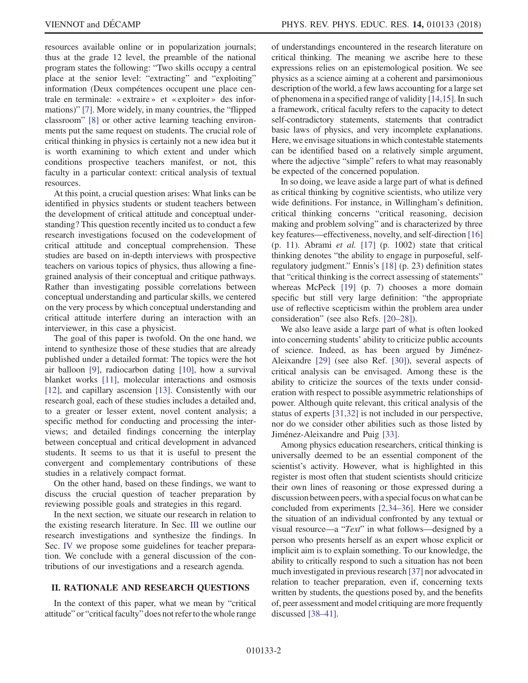resources available online or in popularization journals; thus at the grade 12 level, the preamble of the national program states the following: "Two skills occupy a central place at the senior level: "extracting" and "exploiting" information (Deux compétences occupent une place centrale en terminale: « extraire » et « exploiter » des informations)" [\[7\]](#page-16-6). More widely, in many countries, the "flipped classroom" [\[8\]](#page-16-7) or other active learning teaching environments put the same request on students. The crucial role of critical thinking in physics is certainly not a new idea but it is worth examining to which extent and under which conditions prospective teachers manifest, or not, this faculty in a particular context: critical analysis of textual resources.

At this point, a crucial question arises: What links can be identified in physics students or student teachers between the development of critical attitude and conceptual understanding? This question recently incited us to conduct a few research investigations focused on the codevelopment of critical attitude and conceptual comprehension. These studies are based on in-depth interviews with prospective teachers on various topics of physics, thus allowing a finegrained analysis of their conceptual and critique pathways. Rather than investigating possible correlations between conceptual understanding and particular skills, we centered on the very process by which conceptual understanding and critical attitude interfere during an interaction with an interviewer, in this case a physicist.

The goal of this paper is twofold. On the one hand, we intend to synthesize those of these studies that are already published under a detailed format: The topics were the hot air balloon [\[9\]](#page-16-8), radiocarbon dating [\[10\],](#page-16-9) how a survival blanket works [\[11\],](#page-16-10) molecular interactions and osmosis [\[12\]](#page-16-11), and capillary ascension [\[13\].](#page-16-12) Consistently with our research goal, each of these studies includes a detailed and, to a greater or lesser extent, novel content analysis; a specific method for conducting and processing the interviews; and detailed findings concerning the interplay between conceptual and critical development in advanced students. It seems to us that it is useful to present the convergent and complementary contributions of these studies in a relatively compact format.

On the other hand, based on these findings, we want to discuss the crucial question of teacher preparation by reviewing possible goals and strategies in this regard.

In the next section, we situate our research in relation to the existing research literature. In Sec. [III](#page-3-0) we outline our research investigations and synthesize the findings. In Sec. [IV](#page-8-0) we propose some guidelines for teacher preparation. We conclude with a general discussion of the contributions of our investigations and a research agenda.

#### II. RATIONALE AND RESEARCH QUESTIONS

In the context of this paper, what we mean by "critical attitude" or "critical faculty" does not refer to the whole range of understandings encountered in the research literature on critical thinking. The meaning we ascribe here to these expressions relies on an epistemological position. We see physics as a science aiming at a coherent and parsimonious description of the world, a few laws accounting for a large set of phenomena in a specified range of validity [\[14,15\]](#page-16-13). In such a framework, critical faculty refers to the capacity to detect self-contradictory statements, statements that contradict basic laws of physics, and very incomplete explanations. Here, we envisage situations in which contestable statements can be identified based on a relatively simple argument, where the adjective "simple" refers to what may reasonably be expected of the concerned population.

In so doing, we leave aside a large part of what is defined as critical thinking by cognitive scientists, who utilize very wide definitions. For instance, in Willingham's definition, critical thinking concerns "critical reasoning, decision making and problem solving" and is characterized by three key features—effectiveness, novelty, and self-direction [\[16\]](#page-16-14) (p. 11). Abrami *et al.* [\[17\]](#page-16-15) (p. 1002) state that critical thinking denotes "the ability to engage in purposeful, selfregulatory judgment." Ennis's [\[18\]](#page-16-16) (p. 23) definition states that "critical thinking is the correct assessing of statements" whereas McPeck [\[19\]](#page-17-0) (p. 7) chooses a more domain specific but still very large definition: "the appropriate use of reflective scepticism within the problem area under consideration" (see also Refs. [\[20](#page-17-1)–28]).

We also leave aside a large part of what is often looked into concerning students' ability to criticize public accounts of science. Indeed, as has been argued by Jiménez-Aleixandre [\[29\]](#page-17-2) (see also Ref. [\[30\]\)](#page-17-3), several aspects of critical analysis can be envisaged. Among these is the ability to criticize the sources of the texts under consideration with respect to possible asymmetric relationships of power. Although quite relevant, this critical analysis of the status of experts [\[31,32\]](#page-17-4) is not included in our perspective, nor do we consider other abilities such as those listed by Jiménez-Aleixandre and Puig [\[33\].](#page-17-5)

Among physics education researchers, critical thinking is universally deemed to be an essential component of the scientist's activity. However, what is highlighted in this register is most often that student scientists should criticize their own lines of reasoning or those expressed during a discussion between peers, with a special focus on what can be concluded from experiments [\[2,34](#page-16-1)–36]. Here we consider the situation of an individual confronted by any textual or visual resource—a "Text" in what follows—designed by a person who presents herself as an expert whose explicit or implicit aim is to explain something. To our knowledge, the ability to critically respond to such a situation has not been much investigated in previous research [\[37\]](#page-17-6) nor advocated in relation to teacher preparation, even if, concerning texts written by students, the questions posed by, and the benefits of, peer assessment and model critiquing are more frequently discussed [38–[41\]](#page-17-7).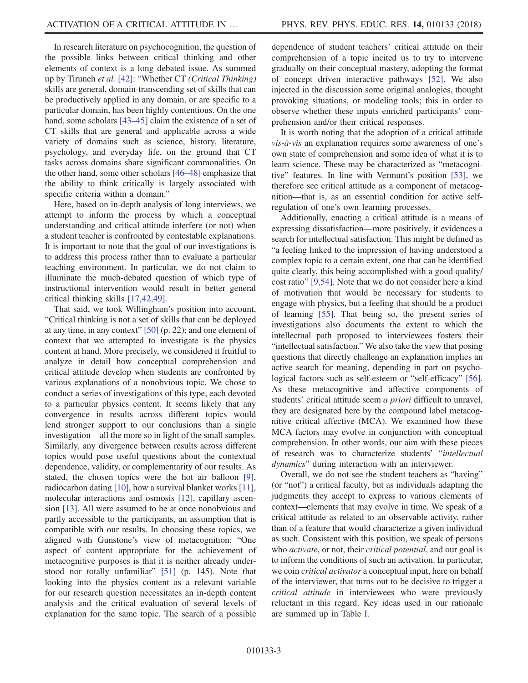In research literature on psychocognition, the question of the possible links between critical thinking and other elements of context is a long debated issue. As summed up by Tiruneh et al. [\[42\]](#page-17-8): "Whether CT (Critical Thinking) skills are general, domain-transcending set of skills that can be productively applied in any domain, or are specific to a particular domain, has been highly contentious. On the one hand, some scholars [43–[45\]](#page-17-9) claim the existence of a set of CT skills that are general and applicable across a wide variety of domains such as science, history, literature, psychology, and everyday life, on the ground that CT tasks across domains share significant commonalities. On the other hand, some other scholars [\[46](#page-17-10)–48] emphasize that the ability to think critically is largely associated with specific criteria within a domain."

Here, based on in-depth analysis of long interviews, we attempt to inform the process by which a conceptual understanding and critical attitude interfere (or not) when a student teacher is confronted by contestable explanations. It is important to note that the goal of our investigations is to address this process rather than to evaluate a particular teaching environment. In particular, we do not claim to illuminate the much-debated question of which type of instructional intervention would result in better general critical thinking skills [\[17,42,49\].](#page-16-15)

That said, we took Willingham's position into account, "Critical thinking is not a set of skills that can be deployed at any time, in any context" [\[50\]](#page-17-11) (p. 22); and one element of context that we attempted to investigate is the physics content at hand. More precisely, we considered it fruitful to analyze in detail how conceptual comprehension and critical attitude develop when students are confronted by various explanations of a nonobvious topic. We chose to conduct a series of investigations of this type, each devoted to a particular physics content. It seems likely that any convergence in results across different topics would lend stronger support to our conclusions than a single investigation—all the more so in light of the small samples. Similarly, any divergence between results across different topics would pose useful questions about the contextual dependence, validity, or complementarity of our results. As stated, the chosen topics were the hot air balloon [\[9\]](#page-16-8), radiocarbon dating [\[10\]](#page-16-9), how a survival blanket works [\[11\]](#page-16-10), molecular interactions and osmosis [\[12\],](#page-16-11) capillary ascension [\[13\].](#page-16-12) All were assumed to be at once nonobvious and partly accessible to the participants, an assumption that is compatible with our results. In choosing these topics, we aligned with Gunstone's view of metacognition: "One aspect of content appropriate for the achievement of metacognitive purposes is that it is neither already understood nor totally unfamiliar" [\[51\]](#page-17-12) (p. 145). Note that looking into the physics content as a relevant variable for our research question necessitates an in-depth content analysis and the critical evaluation of several levels of explanation for the same topic. The search of a possible

dependence of student teachers' critical attitude on their comprehension of a topic incited us to try to intervene gradually on their conceptual mastery, adopting the format of concept driven interactive pathways [\[52\]](#page-17-13). We also injected in the discussion some original analogies, thought provoking situations, or modeling tools; this in order to observe whether these inputs enriched participants' comprehension and/or their critical responses.

It is worth noting that the adoption of a critical attitude  $vis-\hat{a}-vis$  an explanation requires some awareness of one's own state of comprehension and some idea of what it is to learn science. These may be characterized as "metacognitive" features. In line with Vermunt's position [\[53\]](#page-17-14), we therefore see critical attitude as a component of metacognition—that is, as an essential condition for active selfregulation of one's own learning processes.

Additionally, enacting a critical attitude is a means of expressing dissatisfaction—more positively, it evidences a search for intellectual satisfaction. This might be defined as "a feeling linked to the impression of having understood a complex topic to a certain extent, one that can be identified quite clearly, this being accomplished with a good quality/ cost ratio" [\[9,54\].](#page-16-8) Note that we do not consider here a kind of motivation that would be necessary for students to engage with physics, but a feeling that should be a product of learning [\[55\].](#page-17-15) That being so, the present series of investigations also documents the extent to which the intellectual path proposed to interviewees fosters their "intellectual satisfaction." We also take the view that posing questions that directly challenge an explanation implies an active search for meaning, depending in part on psychological factors such as self-esteem or "self-efficacy" [\[56\]](#page-18-0). As these metacognitive and affective components of students' critical attitude seem a priori difficult to unravel, they are designated here by the compound label metacognitive critical affective (MCA). We examined how these MCA factors may evolve in conjunction with conceptual comprehension. In other words, our aim with these pieces of research was to characterize students' "intellectual dynamics" during interaction with an interviewer.

Overall, we do not see the student teachers as "having" (or "not") a critical faculty, but as individuals adapting the judgments they accept to express to various elements of context—elements that may evolve in time. We speak of a critical attitude as related to an observable activity, rather than of a feature that would characterize a given individual as such. Consistent with this position, we speak of persons who *activate*, or not, their *critical potential*, and our goal is to inform the conditions of such an activation. In particular, we coin *critical activator* a conceptual input, here on behalf of the interviewer, that turns out to be decisive to trigger a critical attitude in interviewees who were previously reluctant in this regard. Key ideas used in our rationale are summed up in Table [I.](#page-3-1)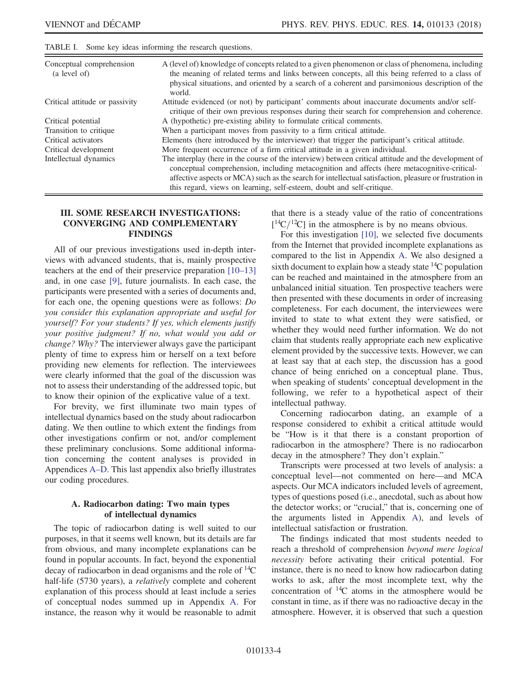| Conceptual comprehension<br>(a level of) | A (level of) knowledge of concepts related to a given phenomenon or class of phenomena, including<br>the meaning of related terms and links between concepts, all this being referred to a class of<br>physical situations, and oriented by a search of a coherent and parsimonious description of the<br>world.                                                                       |
|------------------------------------------|----------------------------------------------------------------------------------------------------------------------------------------------------------------------------------------------------------------------------------------------------------------------------------------------------------------------------------------------------------------------------------------|
| Critical attitude or passivity           | Attitude evidenced (or not) by participant' comments about inaccurate documents and/or self-<br>critique of their own previous responses during their search for comprehension and coherence.                                                                                                                                                                                          |
| Critical potential                       | A (hypothetic) pre-existing ability to formulate critical comments.                                                                                                                                                                                                                                                                                                                    |
| Transition to critique                   | When a participant moves from passivity to a firm critical attitude.                                                                                                                                                                                                                                                                                                                   |
| Critical activators                      | Elements (here introduced by the interviewer) that trigger the participant's critical attitude.                                                                                                                                                                                                                                                                                        |
| Critical development                     | More frequent occurrence of a firm critical attitude in a given individual.                                                                                                                                                                                                                                                                                                            |
| Intellectual dynamics                    | The interplay (here in the course of the interview) between critical attitude and the development of<br>conceptual comprehension, including metacognition and affects (here metacognitive-critical-<br>affective aspects or MCA) such as the search for intellectual satisfaction, pleasure or frustration in<br>this regard, views on learning, self-esteem, doubt and self-critique. |

#### <span id="page-3-1"></span>TABLE I. Some key ideas informing the research questions.

#### <span id="page-3-0"></span>III. SOME RESEARCH INVESTIGATIONS: CONVERGING AND COMPLEMENTARY FINDINGS

All of our previous investigations used in-depth interviews with advanced students, that is, mainly prospective teachers at the end of their preservice preparation [\[10](#page-16-9)–13] and, in one case [\[9\],](#page-16-8) future journalists. In each case, the participants were presented with a series of documents and, for each one, the opening questions were as follows: Do you consider this explanation appropriate and useful for yourself? For your students? If yes, which elements justify your positive judgment? If no, what would you add or change? Why? The interviewer always gave the participant plenty of time to express him or herself on a text before providing new elements for reflection. The interviewees were clearly informed that the goal of the discussion was not to assess their understanding of the addressed topic, but to know their opinion of the explicative value of a text.

For brevity, we first illuminate two main types of intellectual dynamics based on the study about radiocarbon dating. We then outline to which extent the findings from other investigations confirm or not, and/or complement these preliminary conclusions. Some additional information concerning the content analyses is provided in Appendices A–[D.](#page-13-0) This last appendix also briefly illustrates our coding procedures.

#### A. Radiocarbon dating: Two main types of intellectual dynamics

The topic of radiocarbon dating is well suited to our purposes, in that it seems well known, but its details are far from obvious, and many incomplete explanations can be found in popular accounts. In fact, beyond the exponential decay of radiocarbon in dead organisms and the role of  ${}^{14}C$ half-life (5730 years), a relatively complete and coherent explanation of this process should at least include a series of conceptual nodes summed up in Appendix [A](#page-13-0). For instance, the reason why it would be reasonable to admit

that there is a steady value of the ratio of concentrations  $[{}^{14}C/{}^{12}C]$  in the atmosphere is by no means obvious.<br>For this investigation [10] we selected five docum

For this investigation [\[10\]](#page-16-9), we selected five documents from the Internet that provided incomplete explanations as compared to the list in Appendix [A.](#page-13-0) We also designed a sixth document to explain how a steady state  ${}^{14}C$  population can be reached and maintained in the atmosphere from an unbalanced initial situation. Ten prospective teachers were then presented with these documents in order of increasing completeness. For each document, the interviewees were invited to state to what extent they were satisfied, or whether they would need further information. We do not claim that students really appropriate each new explicative element provided by the successive texts. However, we can at least say that at each step, the discussion has a good chance of being enriched on a conceptual plane. Thus, when speaking of students' conceptual development in the following, we refer to a hypothetical aspect of their intellectual pathway.

Concerning radiocarbon dating, an example of a response considered to exhibit a critical attitude would be "How is it that there is a constant proportion of radiocarbon in the atmosphere? There is no radiocarbon decay in the atmosphere? They don't explain."

Transcripts were processed at two levels of analysis: a conceptual level—not commented on here—and MCA aspects. Our MCA indicators included levels of agreement, types of questions posed (i.e., anecdotal, such as about how the detector works; or "crucial," that is, concerning one of the arguments listed in Appendix [A](#page-13-0)), and levels of intellectual satisfaction or frustration.

The findings indicated that most students needed to reach a threshold of comprehension beyond mere logical necessity before activating their critical potential. For instance, there is no need to know how radiocarbon dating works to ask, after the most incomplete text, why the concentration of  $^{14}C$  atoms in the atmosphere would be constant in time, as if there was no radioactive decay in the atmosphere. However, it is observed that such a question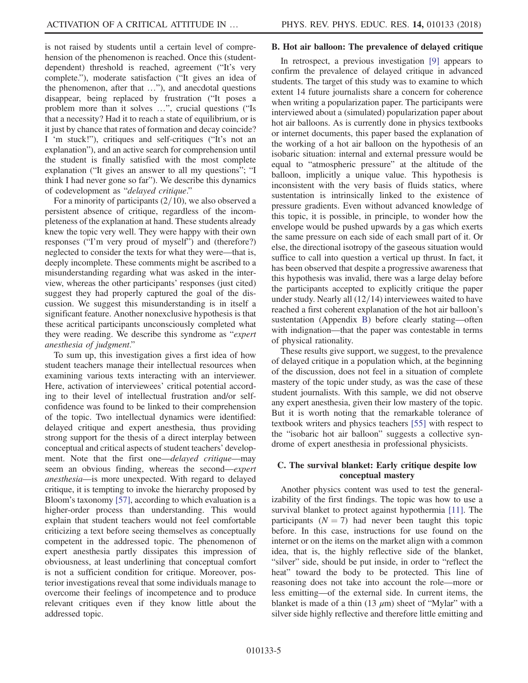is not raised by students until a certain level of comprehension of the phenomenon is reached. Once this (studentdependent) threshold is reached, agreement ("It's very complete."), moderate satisfaction ("It gives an idea of the phenomenon, after that …"), and anecdotal questions disappear, being replaced by frustration ("It poses a problem more than it solves …", crucial questions ("Is that a necessity? Had it to reach a state of equilibrium, or is it just by chance that rates of formation and decay coincide? I 'm stuck!"), critiques and self-critiques ("It's not an explanation"), and an active search for comprehension until the student is finally satisfied with the most complete explanation ("It gives an answer to all my questions"; "I think I had never gone so far"). We describe this dynamics of codevelopment as "delayed critique."

For a minority of participants  $(2/10)$ , we also observed a persistent absence of critique, regardless of the incompleteness of the explanation at hand. These students already knew the topic very well. They were happy with their own responses ("I'm very proud of myself") and (therefore?) neglected to consider the texts for what they were—that is, deeply incomplete. These comments might be ascribed to a misunderstanding regarding what was asked in the interview, whereas the other participants' responses (just cited) suggest they had properly captured the goal of the discussion. We suggest this misunderstanding is in itself a significant feature. Another nonexclusive hypothesis is that these acritical participants unconsciously completed what they were reading. We describe this syndrome as "expert anesthesia of judgment."

To sum up, this investigation gives a first idea of how student teachers manage their intellectual resources when examining various texts interacting with an interviewer. Here, activation of interviewees' critical potential according to their level of intellectual frustration and/or selfconfidence was found to be linked to their comprehension of the topic. Two intellectual dynamics were identified: delayed critique and expert anesthesia, thus providing strong support for the thesis of a direct interplay between conceptual and critical aspects of student teachers' development. Note that the first one—delayed critique—may seem an obvious finding, whereas the second—expert anesthesia—is more unexpected. With regard to delayed critique, it is tempting to invoke the hierarchy proposed by Bloom's taxonomy [\[57\]](#page-18-1), according to which evaluation is a higher-order process than understanding. This would explain that student teachers would not feel comfortable criticizing a text before seeing themselves as conceptually competent in the addressed topic. The phenomenon of expert anesthesia partly dissipates this impression of obviousness, at least underlining that conceptual comfort is not a sufficient condition for critique. Moreover, posterior investigations reveal that some individuals manage to overcome their feelings of incompetence and to produce relevant critiques even if they know little about the addressed topic.

### B. Hot air balloon: The prevalence of delayed critique

In retrospect, a previous investigation [\[9\]](#page-16-8) appears to confirm the prevalence of delayed critique in advanced students. The target of this study was to examine to which extent 14 future journalists share a concern for coherence when writing a popularization paper. The participants were interviewed about a (simulated) popularization paper about hot air balloons. As is currently done in physics textbooks or internet documents, this paper based the explanation of the working of a hot air balloon on the hypothesis of an isobaric situation: internal and external pressure would be equal to "atmospheric pressure" at the altitude of the balloon, implicitly a unique value. This hypothesis is inconsistent with the very basis of fluids statics, where sustentation is intrinsically linked to the existence of pressure gradients. Even without advanced knowledge of this topic, it is possible, in principle, to wonder how the envelope would be pushed upwards by a gas which exerts the same pressure on each side of each small part of it. Or else, the directional isotropy of the gaseous situation would suffice to call into question a vertical up thrust. In fact, it has been observed that despite a progressive awareness that this hypothesis was invalid, there was a large delay before the participants accepted to explicitly critique the paper under study. Nearly all  $(12/14)$  interviewees waited to have reached a first coherent explanation of the hot air balloon's sustentation (Appendix [B\)](#page-13-1) before clearly stating—often with indignation—that the paper was contestable in terms of physical rationality.

These results give support, we suggest, to the prevalence of delayed critique in a population which, at the beginning of the discussion, does not feel in a situation of complete mastery of the topic under study, as was the case of these student journalists. With this sample, we did not observe any expert anesthesia, given their low mastery of the topic. But it is worth noting that the remarkable tolerance of textbook writers and physics teachers [\[55\]](#page-17-15) with respect to the "isobaric hot air balloon" suggests a collective syndrome of expert anesthesia in professional physicists.

### C. The survival blanket: Early critique despite low conceptual mastery

Another physics content was used to test the generalizability of the first findings. The topic was how to use a survival blanket to protect against hypothermia [\[11\]](#page-16-10). The participants  $(N = 7)$  had never been taught this topic before. In this case, instructions for use found on the internet or on the items on the market align with a common idea, that is, the highly reflective side of the blanket, "silver" side, should be put inside, in order to "reflect the heat" toward the body to be protected. This line of reasoning does not take into account the role—more or less emitting—of the external side. In current items, the blanket is made of a thin  $(13 \mu m)$  sheet of "Mylar" with a silver side highly reflective and therefore little emitting and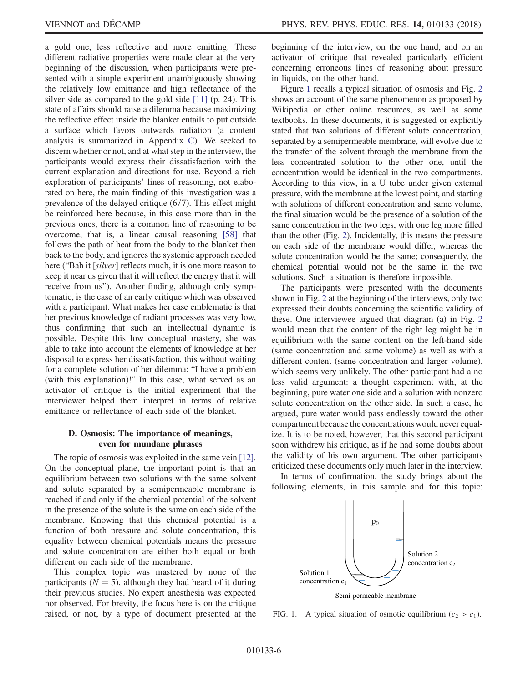a gold one, less reflective and more emitting. These different radiative properties were made clear at the very beginning of the discussion, when participants were presented with a simple experiment unambiguously showing the relatively low emittance and high reflectance of the silver side as compared to the gold side [\[11\]](#page-16-10) (p. 24). This state of affairs should raise a dilemma because maximizing the reflective effect inside the blanket entails to put outside a surface which favors outwards radiation (a content analysis is summarized in Appendix [C](#page-14-0)). We seeked to discern whether or not, and at what step in the interview, the participants would express their dissatisfaction with the current explanation and directions for use. Beyond a rich exploration of participants' lines of reasoning, not elaborated on here, the main finding of this investigation was a prevalence of the delayed critique  $(6/7)$ . This effect might be reinforced here because, in this case more than in the previous ones, there is a common line of reasoning to be overcome, that is, a linear causal reasoning [\[58\]](#page-18-2) that follows the path of heat from the body to the blanket then back to the body, and ignores the systemic approach needed here ("Bah it [silver] reflects much, it is one more reason to keep it near us given that it will reflect the energy that it will receive from us"). Another finding, although only symptomatic, is the case of an early critique which was observed with a participant. What makes her case emblematic is that her previous knowledge of radiant processes was very low, thus confirming that such an intellectual dynamic is possible. Despite this low conceptual mastery, she was able to take into account the elements of knowledge at her disposal to express her dissatisfaction, this without waiting for a complete solution of her dilemma: "I have a problem (with this explanation)!" In this case, what served as an activator of critique is the initial experiment that the interviewer helped them interpret in terms of relative emittance or reflectance of each side of the blanket.

#### D. Osmosis: The importance of meanings, even for mundane phrases

The topic of osmosis was exploited in the same vein [\[12\]](#page-16-11). On the conceptual plane, the important point is that an equilibrium between two solutions with the same solvent and solute separated by a semipermeable membrane is reached if and only if the chemical potential of the solvent in the presence of the solute is the same on each side of the membrane. Knowing that this chemical potential is a function of both pressure and solute concentration, this equality between chemical potentials means the pressure and solute concentration are either both equal or both different on each side of the membrane.

This complex topic was mastered by none of the participants ( $N = 5$ ), although they had heard of it during their previous studies. No expert anesthesia was expected nor observed. For brevity, the focus here is on the critique raised, or not, by a type of document presented at the beginning of the interview, on the one hand, and on an activator of critique that revealed particularly efficient concerning erroneous lines of reasoning about pressure in liquids, on the other hand.

Figure [1](#page-5-0) recalls a typical situation of osmosis and Fig. [2](#page-6-0) shows an account of the same phenomenon as proposed by Wikipedia or other online resources, as well as some textbooks. In these documents, it is suggested or explicitly stated that two solutions of different solute concentration, separated by a semipermeable membrane, will evolve due to the transfer of the solvent through the membrane from the less concentrated solution to the other one, until the concentration would be identical in the two compartments. According to this view, in a U tube under given external pressure, with the membrane at the lowest point, and starting with solutions of different concentration and same volume, the final situation would be the presence of a solution of the same concentration in the two legs, with one leg more filled than the other (Fig. [2](#page-6-0)). Incidentally, this means the pressure on each side of the membrane would differ, whereas the solute concentration would be the same; consequently, the chemical potential would not be the same in the two solutions. Such a situation is therefore impossible.

The participants were presented with the documents shown in Fig. [2](#page-6-0) at the beginning of the interviews, only two expressed their doubts concerning the scientific validity of these. One interviewee argued that diagram (a) in Fig. [2](#page-6-0) would mean that the content of the right leg might be in equilibrium with the same content on the left-hand side (same concentration and same volume) as well as with a different content (same concentration and larger volume), which seems very unlikely. The other participant had a no less valid argument: a thought experiment with, at the beginning, pure water one side and a solution with nonzero solute concentration on the other side. In such a case, he argued, pure water would pass endlessly toward the other compartment because the concentrations would never equalize. It is to be noted, however, that this second participant soon withdrew his critique, as if he had some doubts about the validity of his own argument. The other participants criticized these documents only much later in the interview.

In terms of confirmation, the study brings about the following elements, in this sample and for this topic:

<span id="page-5-0"></span>

FIG. 1. A typical situation of osmotic equilibrium ( $c_2 > c_1$ ).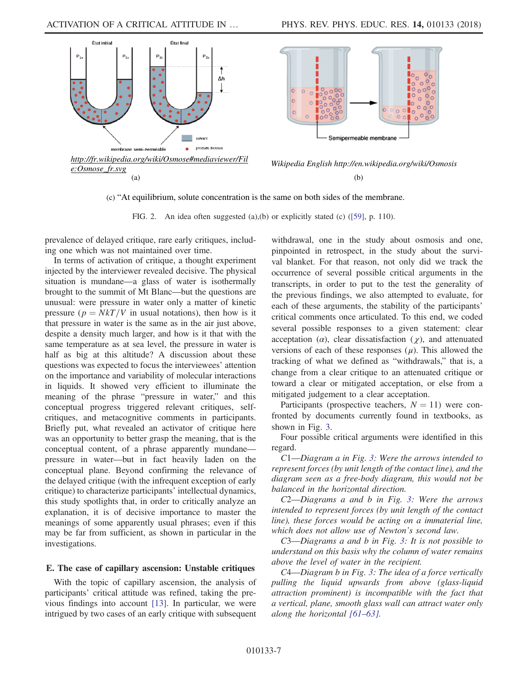<span id="page-6-0"></span>

(c) "At equilibrium, solute concentration is the same on both sides of the membrane.

FIG. 2. An idea often suggested (a),(b) or explicitly stated (c) ([\[59\],](#page-18-4) p. 110).

prevalence of delayed critique, rare early critiques, including one which was not maintained over time.

In terms of activation of critique, a thought experiment injected by the interviewer revealed decisive. The physical situation is mundane—a glass of water is isothermally brought to the summit of Mt Blanc—but the questions are unusual: were pressure in water only a matter of kinetic pressure ( $p = NkT/V$  in usual notations), then how is it that pressure in water is the same as in the air just above, despite a density much larger, and how is it that with the same temperature as at sea level, the pressure in water is half as big at this altitude? A discussion about these questions was expected to focus the interviewees' attention on the importance and variability of molecular interactions in liquids. It showed very efficient to illuminate the meaning of the phrase "pressure in water," and this conceptual progress triggered relevant critiques, selfcritiques, and metacognitive comments in participants. Briefly put, what revealed an activator of critique here was an opportunity to better grasp the meaning, that is the conceptual content, of a phrase apparently mundane pressure in water—but in fact heavily laden on the conceptual plane. Beyond confirming the relevance of the delayed critique (with the infrequent exception of early critique) to characterize participants' intellectual dynamics, this study spotlights that, in order to critically analyze an explanation, it is of decisive importance to master the meanings of some apparently usual phrases; even if this may be far from sufficient, as shown in particular in the investigations.

### E. The case of capillary ascension: Unstable critiques

With the topic of capillary ascension, the analysis of participants' critical attitude was refined, taking the previous findings into account [\[13\]](#page-16-12). In particular, we were intrigued by two cases of an early critique with subsequent withdrawal, one in the study about osmosis and one, pinpointed in retrospect, in the study about the survival blanket. For that reason, not only did we track the occurrence of several possible critical arguments in the transcripts, in order to put to the test the generality of the previous findings, we also attempted to evaluate, for each of these arguments, the stability of the participants' critical comments once articulated. To this end, we coded several possible responses to a given statement: clear acceptation ( $\alpha$ ), clear dissatisfaction ( $\chi$ ), and attenuated versions of each of these responses  $(\mu)$ . This allowed the tracking of what we defined as "withdrawals," that is, a change from a clear critique to an attenuated critique or toward a clear or mitigated acceptation, or else from a mitigated judgement to a clear acceptation.

Participants (prospective teachers,  $N = 11$ ) were confronted by documents currently found in textbooks, as shown in Fig. [3.](#page-7-0)

Four possible critical arguments were identified in this regard.

C1—Diagram a in Fig. [3:](#page-7-0) Were the arrows intended to represent forces (by unit length of the contact line), and the diagram seen as a free-body diagram, this would not be balanced in the horizontal direction.

C2—Diagrams a and b in Fig. [3](#page-7-0): Were the arrows intended to represent forces (by unit length of the contact line), these forces would be acting on a immaterial line, which does not allow use of Newton's second law.

<sup>C</sup>3—Diagrams a and b in Fig. [3](#page-7-0): It is not possible to understand on this basis why the column of water remains above the level of water in the recipient.

C4—Diagram b in Fig. [3:](#page-7-0) The idea of a force vertically pulling the liquid upwards from above (glass-liquid attraction prominent) is incompatible with the fact that a vertical, plane, smooth glass wall can attract water only along the horizontal [61–[63\].](#page-18-3)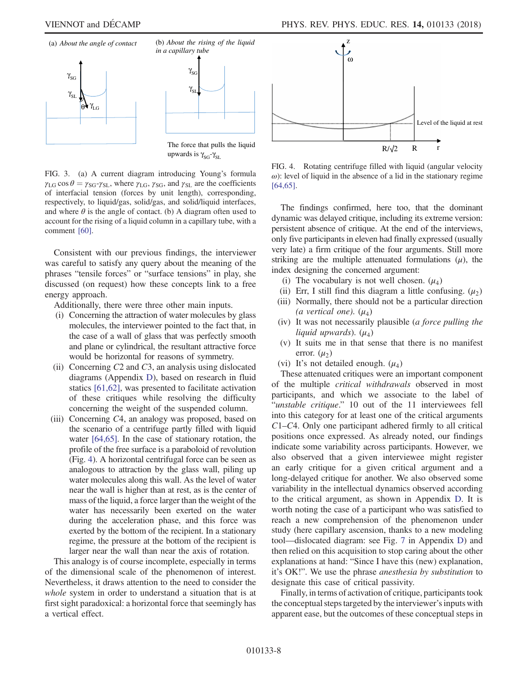<span id="page-7-0"></span>

The force that pulls the liquid upwards is  $\gamma_{SG}$ - $\gamma_{SL}$ 

FIG. 3. (a) A current diagram introducing Young's formula  $\gamma_{LG}$  cos  $\theta = \gamma_{SG} - \gamma_{SL}$ , where  $\gamma_{LG}$ ,  $\gamma_{SG}$ , and  $\gamma_{SL}$  are the coefficients of interfacial tension (forces by unit length), corresponding, respectively, to liquid/gas, solid/gas, and solid/liquid interfaces, and where  $\theta$  is the angle of contact. (b) A diagram often used to account for the rising of a liquid column in a capillary tube, with a comment [\[60\]](#page-18-6).

Consistent with our previous findings, the interviewer was careful to satisfy any query about the meaning of the phrases "tensile forces" or "surface tensions" in play, she discussed (on request) how these concepts link to a free energy approach.

Additionally, there were three other main inputs.

- (i) Concerning the attraction of water molecules by glass molecules, the interviewer pointed to the fact that, in the case of a wall of glass that was perfectly smooth and plane or cylindrical, the resultant attractive force would be horizontal for reasons of symmetry.
- (ii) Concerning  $C2$  and  $C3$ , an analysis using dislocated diagrams (Appendix [D](#page-14-1)), based on research in fluid statics [\[61,62\]](#page-18-3), was presented to facilitate activation of these critiques while resolving the difficulty concerning the weight of the suspended column.
- (iii) Concerning C4, an analogy was proposed, based on the scenario of a centrifuge partly filled with liquid water [\[64,65\].](#page-18-5) In the case of stationary rotation, the profile of the free surface is a paraboloid of revolution (Fig. [4](#page-7-1)). A horizontal centrifugal force can be seen as analogous to attraction by the glass wall, piling up water molecules along this wall. As the level of water near the wall is higher than at rest, as is the center of mass of the liquid, a force larger than the weight of the water has necessarily been exerted on the water during the acceleration phase, and this force was exerted by the bottom of the recipient. In a stationary regime, the pressure at the bottom of the recipient is larger near the wall than near the axis of rotation.

This analogy is of course incomplete, especially in terms of the dimensional scale of the phenomenon of interest. Nevertheless, it draws attention to the need to consider the whole system in order to understand a situation that is at first sight paradoxical: a horizontal force that seemingly has a vertical effect.

<span id="page-7-1"></span>

FIG. 4. Rotating centrifuge filled with liquid (angular velocity  $\omega$ ): level of liquid in the absence of a lid in the stationary regime [\[64,65\].](#page-18-5)

The findings confirmed, here too, that the dominant dynamic was delayed critique, including its extreme version: persistent absence of critique. At the end of the interviews, only five participants in eleven had finally expressed (usually very late) a firm critique of the four arguments. Still more striking are the multiple attenuated formulations  $(\mu)$ , the index designing the concerned argument:

- (i) The vocabulary is not well chosen.  $(\mu_4)$
- (ii) Err, I still find this diagram a little confusing.  $(\mu_2)$
- (iii) Normally, there should not be a particular direction (a vertical one).  $(\mu_A)$
- (iv) It was not necessarily plausible (a force pulling the liquid upwards).  $(\mu_A)$
- (v) It suits me in that sense that there is no manifest error.  $(\mu_2)$
- (vi) It's not detailed enough.  $(\mu_4)$

These attenuated critiques were an important component of the multiple critical withdrawals observed in most participants, and which we associate to the label of "unstable critique." 10 out of the 11 interviewees fell into this category for at least one of the critical arguments C1–C4. Only one participant adhered firmly to all critical positions once expressed. As already noted, our findings indicate some variability across participants. However, we also observed that a given interviewee might register an early critique for a given critical argument and a long-delayed critique for another. We also observed some variability in the intellectual dynamics observed according to the critical argument, as shown in Appendix [D](#page-14-1). It is worth noting the case of a participant who was satisfied to reach a new comprehension of the phenomenon under study (here capillary ascension, thanks to a new modeling tool—dislocated diagram: see Fig. [7](#page-15-0) in Appendix [D\)](#page-14-1) and then relied on this acquisition to stop caring about the other explanations at hand: "Since I have this (new) explanation, it's OK!". We use the phrase anesthesia by substitution to designate this case of critical passivity.

Finally, in terms of activation of critique, participants took the conceptual steps targeted by the interviewer's inputs with apparent ease, but the outcomes of these conceptual steps in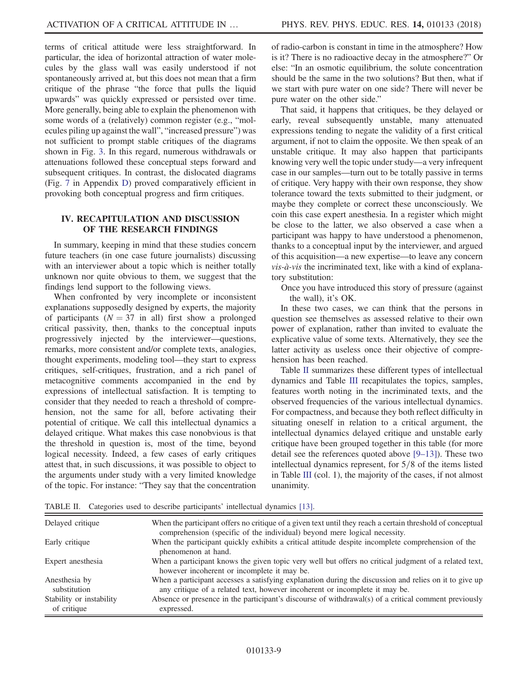terms of critical attitude were less straightforward. In particular, the idea of horizontal attraction of water molecules by the glass wall was easily understood if not spontaneously arrived at, but this does not mean that a firm critique of the phrase "the force that pulls the liquid upwards" was quickly expressed or persisted over time. More generally, being able to explain the phenomenon with some words of a (relatively) common register (e.g., "molecules piling up against the wall", "increased pressure") was not sufficient to prompt stable critiques of the diagrams shown in Fig. [3.](#page-7-0) In this regard, numerous withdrawals or attenuations followed these conceptual steps forward and subsequent critiques. In contrast, the dislocated diagrams (Fig. [7](#page-15-0) in Appendix [D\)](#page-14-1) proved comparatively efficient in provoking both conceptual progress and firm critiques.

#### <span id="page-8-0"></span>IV. RECAPITULATION AND DISCUSSION OF THE RESEARCH FINDINGS

In summary, keeping in mind that these studies concern future teachers (in one case future journalists) discussing with an interviewer about a topic which is neither totally unknown nor quite obvious to them, we suggest that the findings lend support to the following views.

When confronted by very incomplete or inconsistent explanations supposedly designed by experts, the majority of participants ( $N = 37$  in all) first show a prolonged critical passivity, then, thanks to the conceptual inputs progressively injected by the interviewer—questions, remarks, more consistent and/or complete texts, analogies, thought experiments, modeling tool—they start to express critiques, self-critiques, frustration, and a rich panel of metacognitive comments accompanied in the end by expressions of intellectual satisfaction. It is tempting to consider that they needed to reach a threshold of comprehension, not the same for all, before activating their potential of critique. We call this intellectual dynamics a delayed critique. What makes this case nonobvious is that the threshold in question is, most of the time, beyond logical necessity. Indeed, a few cases of early critiques attest that, in such discussions, it was possible to object to the arguments under study with a very limited knowledge of the topic. For instance: "They say that the concentration

of radio-carbon is constant in time in the atmosphere? How is it? There is no radioactive decay in the atmosphere?" Or else: "In an osmotic equilibrium, the solute concentration should be the same in the two solutions? But then, what if we start with pure water on one side? There will never be pure water on the other side."

That said, it happens that critiques, be they delayed or early, reveal subsequently unstable, many attenuated expressions tending to negate the validity of a first critical argument, if not to claim the opposite. We then speak of an unstable critique. It may also happen that participants knowing very well the topic under study—a very infrequent case in our samples—turn out to be totally passive in terms of critique. Very happy with their own response, they show tolerance toward the texts submitted to their judgment, or maybe they complete or correct these unconsciously. We coin this case expert anesthesia. In a register which might be close to the latter, we also observed a case when a participant was happy to have understood a phenomenon, thanks to a conceptual input by the interviewer, and argued of this acquisition—a new expertise—to leave any concern  $vis-\hat{a}-vis$  the incriminated text, like with a kind of explanatory substitution:

Once you have introduced this story of pressure (against the wall), it's OK.

In these two cases, we can think that the persons in question see themselves as assessed relative to their own power of explanation, rather than invited to evaluate the explicative value of some texts. Alternatively, they see the latter activity as useless once their objective of comprehension has been reached.

Table [II](#page-8-1) summarizes these different types of intellectual dynamics and Table [III](#page-9-0) recapitulates the topics, samples, features worth noting in the incriminated texts, and the observed frequencies of the various intellectual dynamics. For compactness, and because they both reflect difficulty in situating oneself in relation to a critical argument, the intellectual dynamics delayed critique and unstable early critique have been grouped together in this table (for more detail see the references quoted above [9–[13\]\)](#page-16-8). These two intellectual dynamics represent, for  $5/8$  of the items listed in Table [III](#page-9-0) (col. 1), the majority of the cases, if not almost unanimity.

<span id="page-8-1"></span>TABLE II. Categories used to describe participants' intellectual dynamics [\[13\].](#page-16-12)

| Delayed critique                        | When the participant offers no critique of a given text until they reach a certain threshold of conceptual<br>comprehension (specific of the individual) beyond mere logical necessity. |
|-----------------------------------------|-----------------------------------------------------------------------------------------------------------------------------------------------------------------------------------------|
| Early critique                          | When the participant quickly exhibits a critical attitude despite incomplete comprehension of the<br>phenomenon at hand.                                                                |
| Expert anesthesia                       | When a participant knows the given topic very well but offers no critical judgment of a related text,<br>however incoherent or incomplete it may be.                                    |
| Anesthesia by<br>substitution           | When a participant accesses a satisfying explanation during the discussion and relies on it to give up<br>any critique of a related text, however incoherent or incomplete it may be.   |
| Stability or instability<br>of critique | Absence or presence in the participant's discourse of withdrawal(s) of a critical comment previously<br>expressed.                                                                      |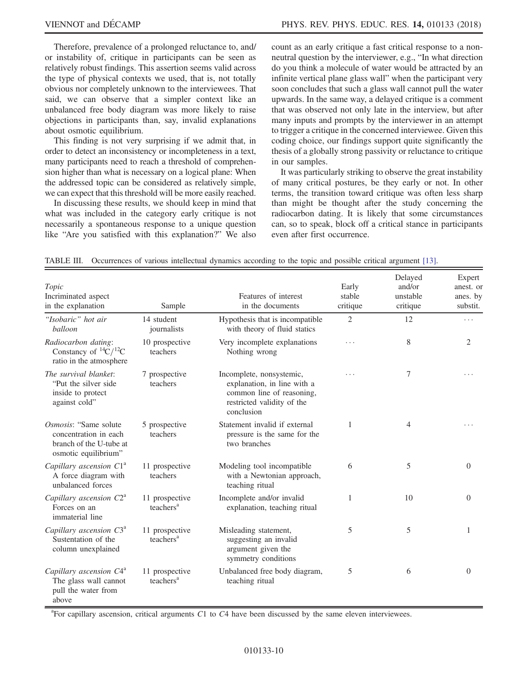Therefore, prevalence of a prolonged reluctance to, and/ or instability of, critique in participants can be seen as relatively robust findings. This assertion seems valid across the type of physical contexts we used, that is, not totally obvious nor completely unknown to the interviewees. That said, we can observe that a simpler context like an unbalanced free body diagram was more likely to raise objections in participants than, say, invalid explanations about osmotic equilibrium.

This finding is not very surprising if we admit that, in order to detect an inconsistency or incompleteness in a text, many participants need to reach a threshold of comprehension higher than what is necessary on a logical plane: When the addressed topic can be considered as relatively simple, we can expect that this threshold will be more easily reached.

In discussing these results, we should keep in mind that what was included in the category early critique is not necessarily a spontaneous response to a unique question like "Are you satisfied with this explanation?" We also count as an early critique a fast critical response to a nonneutral question by the interviewer, e.g., "In what direction do you think a molecule of water would be attracted by an infinite vertical plane glass wall" when the participant very soon concludes that such a glass wall cannot pull the water upwards. In the same way, a delayed critique is a comment that was observed not only late in the interview, but after many inputs and prompts by the interviewer in an attempt to trigger a critique in the concerned interviewee. Given this coding choice, our findings support quite significantly the thesis of a globally strong passivity or reluctance to critique in our samples.

It was particularly striking to observe the great instability of many critical postures, be they early or not. In other terms, the transition toward critique was often less sharp than might be thought after the study concerning the radiocarbon dating. It is likely that some circumstances can, so to speak, block off a critical stance in participants even after first occurrence.

<span id="page-9-0"></span>

|  | TABLE III. Occurrences of various intellectual dynamics according to the topic and possible critical argument [13]. |  |  |  |  |  |  |  |  |  |  |
|--|---------------------------------------------------------------------------------------------------------------------|--|--|--|--|--|--|--|--|--|--|
|--|---------------------------------------------------------------------------------------------------------------------|--|--|--|--|--|--|--|--|--|--|

| Topic<br>Incriminated aspect<br>in the explanation                                                 | Sample                                  | Features of interest<br>in the documents                                                                                         | Early<br>stable<br>critique | Delayed<br>and/or<br>unstable<br>critique | Expert<br>anest. or<br>anes. by<br>substit. |
|----------------------------------------------------------------------------------------------------|-----------------------------------------|----------------------------------------------------------------------------------------------------------------------------------|-----------------------------|-------------------------------------------|---------------------------------------------|
| "Isobaric" hot air<br>balloon                                                                      | 14 student<br>journalists               | Hypothesis that is incompatible<br>with theory of fluid statics                                                                  | $\overline{2}$              | 12                                        | .                                           |
| Radiocarbon dating:<br>Constancy of ${}^{14}C/{}^{12}C$<br>ratio in the atmosphere                 | 10 prospective<br>teachers              | Very incomplete explanations<br>Nothing wrong                                                                                    | .                           | 8                                         | $\overline{2}$                              |
| The survival blanket:<br>"Put the silver side"<br>inside to protect<br>against cold"               | 7 prospective<br>teachers               | Incomplete, nonsystemic,<br>explanation, in line with a<br>common line of reasoning,<br>restricted validity of the<br>conclusion | .                           | 7                                         |                                             |
| Osmosis: "Same solute"<br>concentration in each<br>branch of the U-tube at<br>osmotic equilibrium" | 5 prospective<br>teachers               | Statement invalid if external<br>pressure is the same for the<br>two branches                                                    | 1                           | 4                                         |                                             |
| Capillary ascension $C1^a$<br>A force diagram with<br>unbalanced forces                            | 11 prospective<br>teachers              | Modeling tool incompatible<br>with a Newtonian approach,<br>teaching ritual                                                      | 6                           | 5                                         | $\theta$                                    |
| Capillary ascension $C2^a$<br>Forces on an<br>immaterial line                                      | 11 prospective<br>teachers <sup>a</sup> | Incomplete and/or invalid<br>explanation, teaching ritual                                                                        | 1                           | 10                                        | $\theta$                                    |
| Capillary ascension $C3^a$<br>Sustentation of the<br>column unexplained                            | 11 prospective<br>teachers <sup>a</sup> | Misleading statement,<br>suggesting an invalid<br>argument given the<br>symmetry conditions                                      | 5                           | 5                                         | 1                                           |
| Capillary ascension C4 <sup>a</sup><br>The glass wall cannot<br>pull the water from<br>above       | 11 prospective<br>teachers <sup>a</sup> | Unbalanced free body diagram,<br>teaching ritual                                                                                 | 5                           | 6                                         | $\theta$                                    |

 ${}^{a}$ For capillary ascension, critical arguments C1 to C4 have been discussed by the same eleven interviewees.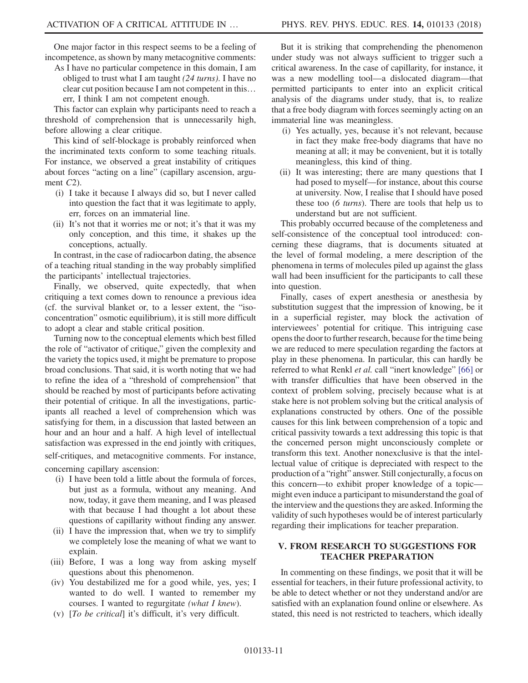One major factor in this respect seems to be a feeling of incompetence, as shown by many metacognitive comments:

As I have no particular competence in this domain, I am obliged to trust what I am taught  $(24 \text{ turns})$ . I have no clear cut position because I am not competent in this… err, I think I am not competent enough.

This factor can explain why participants need to reach a threshold of comprehension that is unnecessarily high, before allowing a clear critique.

This kind of self-blockage is probably reinforced when the incriminated texts conform to some teaching rituals. For instance, we observed a great instability of critiques about forces "acting on a line" (capillary ascension, argument  $C_2$ ).

- (i) I take it because I always did so, but I never called into question the fact that it was legitimate to apply, err, forces on an immaterial line.
- (ii) It's not that it worries me or not; it's that it was my only conception, and this time, it shakes up the conceptions, actually.

In contrast, in the case of radiocarbon dating, the absence of a teaching ritual standing in the way probably simplified the participants' intellectual trajectories.

Finally, we observed, quite expectedly, that when critiquing a text comes down to renounce a previous idea (cf. the survival blanket or, to a lesser extent, the "isoconcentration" osmotic equilibrium), it is still more difficult to adopt a clear and stable critical position.

Turning now to the conceptual elements which best filled the role of "activator of critique," given the complexity and the variety the topics used, it might be premature to propose broad conclusions. That said, it is worth noting that we had to refine the idea of a "threshold of comprehension" that should be reached by most of participants before activating their potential of critique. In all the investigations, participants all reached a level of comprehension which was satisfying for them, in a discussion that lasted between an hour and an hour and a half. A high level of intellectual satisfaction was expressed in the end jointly with critiques, self-critiques, and metacognitive comments. For instance,

concerning capillary ascension:

- (i) I have been told a little about the formula of forces, but just as a formula, without any meaning. And now, today, it gave them meaning, and I was pleased with that because I had thought a lot about these questions of capillarity without finding any answer.
- (ii) I have the impression that, when we try to simplify we completely lose the meaning of what we want to explain.
- (iii) Before, I was a long way from asking myself questions about this phenomenon.
- (iv) You destabilized me for a good while, yes, yes; I wanted to do well. I wanted to remember my courses. I wanted to regurgitate (what I knew).
- (v) [To be critical] it's difficult, it's very difficult.

But it is striking that comprehending the phenomenon under study was not always sufficient to trigger such a critical awareness. In the case of capillarity, for instance, it was a new modelling tool—a dislocated diagram—that permitted participants to enter into an explicit critical analysis of the diagrams under study, that is, to realize that a free body diagram with forces seemingly acting on an immaterial line was meaningless.

- (i) Yes actually, yes, because it's not relevant, because in fact they make free-body diagrams that have no meaning at all; it may be convenient, but it is totally meaningless, this kind of thing.
- (ii) It was interesting; there are many questions that I had posed to myself—for instance, about this course at university. Now, I realise that I should have posed these too (6 turns). There are tools that help us to understand but are not sufficient.

This probably occurred because of the completeness and self-consistence of the conceptual tool introduced: concerning these diagrams, that is documents situated at the level of formal modeling, a mere description of the phenomena in terms of molecules piled up against the glass wall had been insufficient for the participants to call these into question.

Finally, cases of expert anesthesia or anesthesia by substitution suggest that the impression of knowing, be it in a superficial register, may block the activation of interviewees' potential for critique. This intriguing case opens the door to further research, because for the time being we are reduced to mere speculation regarding the factors at play in these phenomena. In particular, this can hardly be referred to what Renkl et al. call "inert knowledge" [\[66\]](#page-18-7) or with transfer difficulties that have been observed in the context of problem solving, precisely because what is at stake here is not problem solving but the critical analysis of explanations constructed by others. One of the possible causes for this link between comprehension of a topic and critical passivity towards a text addressing this topic is that the concerned person might unconsciously complete or transform this text. Another nonexclusive is that the intellectual value of critique is depreciated with respect to the production of a "right" answer. Still conjecturally, a focus on this concern—to exhibit proper knowledge of a topic might even induce a participant to misunderstand the goal of the interview and the questions they are asked. Informing the validity of such hypotheses would be of interest particularly regarding their implications for teacher preparation.

### V. FROM RESEARCH TO SUGGESTIONS FOR TEACHER PREPARATION

In commenting on these findings, we posit that it will be essential for teachers, in their future professional activity, to be able to detect whether or not they understand and/or are satisfied with an explanation found online or elsewhere. As stated, this need is not restricted to teachers, which ideally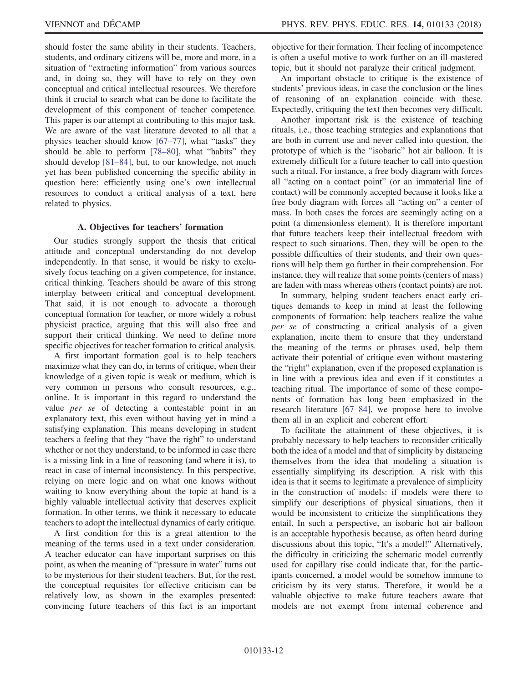should foster the same ability in their students. Teachers, students, and ordinary citizens will be, more and more, in a situation of "extracting information" from various sources and, in doing so, they will have to rely on they own conceptual and critical intellectual resources. We therefore think it crucial to search what can be done to facilitate the development of this component of teacher competence. This paper is our attempt at contributing to this major task. We are aware of the vast literature devoted to all that a physics teacher should know [67–[77\],](#page-18-8) what "tasks" they should be able to perform [\[78](#page-18-9)–80], what "habits" they should develop [\[81](#page-18-10)–84], but, to our knowledge, not much yet has been published concerning the specific ability in question here: efficiently using one's own intellectual resources to conduct a critical analysis of a text, here related to physics.

#### A. Objectives for teachers' formation

Our studies strongly support the thesis that critical attitude and conceptual understanding do not develop independently. In that sense, it would be risky to exclusively focus teaching on a given competence, for instance, critical thinking. Teachers should be aware of this strong interplay between critical and conceptual development. That said, it is not enough to advocate a thorough conceptual formation for teacher, or more widely a robust physicist practice, arguing that this will also free and support their critical thinking. We need to define more specific objectives for teacher formation to critical analysis.

A first important formation goal is to help teachers maximize what they can do, in terms of critique, when their knowledge of a given topic is weak or medium, which is very common in persons who consult resources, e.g., online. It is important in this regard to understand the value per se of detecting a contestable point in an explanatory text, this even without having yet in mind a satisfying explanation. This means developing in student teachers a feeling that they "have the right" to understand whether or not they understand, to be informed in case there is a missing link in a line of reasoning (and where it is), to react in case of internal inconsistency. In this perspective, relying on mere logic and on what one knows without waiting to know everything about the topic at hand is a highly valuable intellectual activity that deserves explicit formation. In other terms, we think it necessary to educate teachers to adopt the intellectual dynamics of early critique.

A first condition for this is a great attention to the meaning of the terms used in a text under consideration. A teacher educator can have important surprises on this point, as when the meaning of "pressure in water" turns out to be mysterious for their student teachers. But, for the rest, the conceptual requisites for effective criticism can be relatively low, as shown in the examples presented: convincing future teachers of this fact is an important objective for their formation. Their feeling of incompetence is often a useful motive to work further on an ill-mastered topic, but it should not paralyze their critical judgment.

An important obstacle to critique is the existence of students' previous ideas, in case the conclusion or the lines of reasoning of an explanation coincide with these. Expectedly, critiquing the text then becomes very difficult.

Another important risk is the existence of teaching rituals, i.e., those teaching strategies and explanations that are both in current use and never called into question, the prototype of which is the "isobaric" hot air balloon. It is extremely difficult for a future teacher to call into question such a ritual. For instance, a free body diagram with forces all "acting on a contact point" (or an immaterial line of contact) will be commonly accepted because it looks like a free body diagram with forces all "acting on" a center of mass. In both cases the forces are seemingly acting on a point (a dimensionless element). It is therefore important that future teachers keep their intellectual freedom with respect to such situations. Then, they will be open to the possible difficulties of their students, and their own questions will help them go further in their comprehension. For instance, they will realize that some points (centers of mass) are laden with mass whereas others (contact points) are not.

In summary, helping student teachers enact early critiques demands to keep in mind at least the following components of formation: help teachers realize the value per se of constructing a critical analysis of a given explanation, incite them to ensure that they understand the meaning of the terms or phrases used, help them activate their potential of critique even without mastering the "right" explanation, even if the proposed explanation is in line with a previous idea and even if it constitutes a teaching ritual. The importance of some of these components of formation has long been emphasized in the research literature [67–[84\],](#page-18-8) we propose here to involve them all in an explicit and coherent effort.

To facilitate the attainment of these objectives, it is probably necessary to help teachers to reconsider critically both the idea of a model and that of simplicity by distancing themselves from the idea that modeling a situation is essentially simplifying its description. A risk with this idea is that it seems to legitimate a prevalence of simplicity in the construction of models: if models were there to simplify our descriptions of physical situations, then it would be inconsistent to criticize the simplifications they entail. In such a perspective, an isobaric hot air balloon is an acceptable hypothesis because, as often heard during discussions about this topic, "It's a model!" Alternatively, the difficulty in criticizing the schematic model currently used for capillary rise could indicate that, for the participants concerned, a model would be somehow immune to criticism by its very status. Therefore, it would be a valuable objective to make future teachers aware that models are not exempt from internal coherence and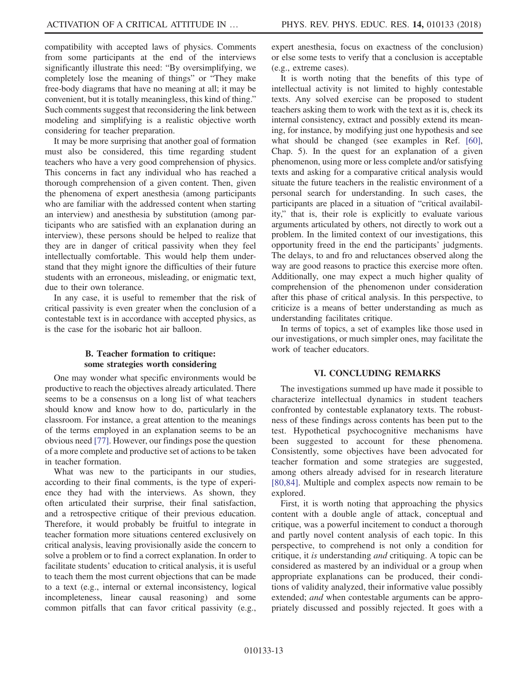compatibility with accepted laws of physics. Comments from some participants at the end of the interviews significantly illustrate this need: "By oversimplifying, we completely lose the meaning of things" or "They make free-body diagrams that have no meaning at all; it may be convenient, but it is totally meaningless, this kind of thing." Such comments suggest that reconsidering the link between modeling and simplifying is a realistic objective worth considering for teacher preparation.

It may be more surprising that another goal of formation must also be considered, this time regarding student teachers who have a very good comprehension of physics. This concerns in fact any individual who has reached a thorough comprehension of a given content. Then, given the phenomena of expert anesthesia (among participants who are familiar with the addressed content when starting an interview) and anesthesia by substitution (among participants who are satisfied with an explanation during an interview), these persons should be helped to realize that they are in danger of critical passivity when they feel intellectually comfortable. This would help them understand that they might ignore the difficulties of their future students with an erroneous, misleading, or enigmatic text, due to their own tolerance.

In any case, it is useful to remember that the risk of critical passivity is even greater when the conclusion of a contestable text is in accordance with accepted physics, as is the case for the isobaric hot air balloon.

### B. Teacher formation to critique: some strategies worth considering

One may wonder what specific environments would be productive to reach the objectives already articulated. There seems to be a consensus on a long list of what teachers should know and know how to do, particularly in the classroom. For instance, a great attention to the meanings of the terms employed in an explanation seems to be an obvious need [\[77\]](#page-18-11). However, our findings pose the question of a more complete and productive set of actions to be taken in teacher formation.

What was new to the participants in our studies, according to their final comments, is the type of experience they had with the interviews. As shown, they often articulated their surprise, their final satisfaction, and a retrospective critique of their previous education. Therefore, it would probably be fruitful to integrate in teacher formation more situations centered exclusively on critical analysis, leaving provisionally aside the concern to solve a problem or to find a correct explanation. In order to facilitate students' education to critical analysis, it is useful to teach them the most current objections that can be made to a text (e.g., internal or external inconsistency, logical incompleteness, linear causal reasoning) and some common pitfalls that can favor critical passivity (e.g.,

expert anesthesia, focus on exactness of the conclusion) or else some tests to verify that a conclusion is acceptable (e.g., extreme cases).

It is worth noting that the benefits of this type of intellectual activity is not limited to highly contestable texts. Any solved exercise can be proposed to student teachers asking them to work with the text as it is, check its internal consistency, extract and possibly extend its meaning, for instance, by modifying just one hypothesis and see what should be changed (see examples in Ref. [\[60\]](#page-18-6), Chap. 5). In the quest for an explanation of a given phenomenon, using more or less complete and/or satisfying texts and asking for a comparative critical analysis would situate the future teachers in the realistic environment of a personal search for understanding. In such cases, the participants are placed in a situation of "critical availability," that is, their role is explicitly to evaluate various arguments articulated by others, not directly to work out a problem. In the limited context of our investigations, this opportunity freed in the end the participants' judgments. The delays, to and fro and reluctances observed along the way are good reasons to practice this exercise more often. Additionally, one may expect a much higher quality of comprehension of the phenomenon under consideration after this phase of critical analysis. In this perspective, to criticize is a means of better understanding as much as understanding facilitates critique.

In terms of topics, a set of examples like those used in our investigations, or much simpler ones, may facilitate the work of teacher educators.

#### VI. CONCLUDING REMARKS

The investigations summed up have made it possible to characterize intellectual dynamics in student teachers confronted by contestable explanatory texts. The robustness of these findings across contents has been put to the test. Hypothetical psychocognitive mechanisms have been suggested to account for these phenomena. Consistently, some objectives have been advocated for teacher formation and some strategies are suggested, among others already advised for in research literature [\[80,84\].](#page-18-12) Multiple and complex aspects now remain to be explored.

First, it is worth noting that approaching the physics content with a double angle of attack, conceptual and critique, was a powerful incitement to conduct a thorough and partly novel content analysis of each topic. In this perspective, to comprehend is not only a condition for critique, it is understanding and critiquing. A topic can be considered as mastered by an individual or a group when appropriate explanations can be produced, their conditions of validity analyzed, their informative value possibly extended; and when contestable arguments can be appropriately discussed and possibly rejected. It goes with a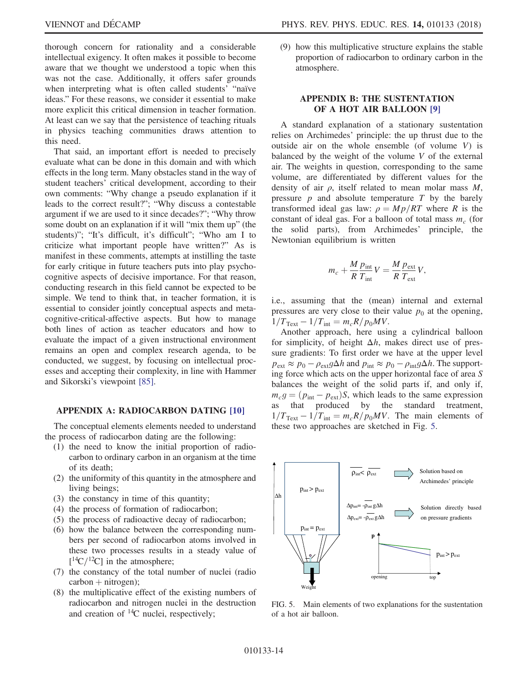thorough concern for rationality and a considerable intellectual exigency. It often makes it possible to become aware that we thought we understood a topic when this was not the case. Additionally, it offers safer grounds when interpreting what is often called students' "naïve ideas." For these reasons, we consider it essential to make more explicit this critical dimension in teacher formation. At least can we say that the persistence of teaching rituals in physics teaching communities draws attention to this need.

That said, an important effort is needed to precisely evaluate what can be done in this domain and with which effects in the long term. Many obstacles stand in the way of student teachers' critical development, according to their own comments: "Why change a pseudo explanation if it leads to the correct result?"; "Why discuss a contestable argument if we are used to it since decades?"; "Why throw some doubt on an explanation if it will "mix them up" (the students)"; "It's difficult, it's difficult"; "Who am I to criticize what important people have written?" As is manifest in these comments, attempts at instilling the taste for early critique in future teachers puts into play psychocognitive aspects of decisive importance. For that reason, conducting research in this field cannot be expected to be simple. We tend to think that, in teacher formation, it is essential to consider jointly conceptual aspects and metacognitive-critical-affective aspects. But how to manage both lines of action as teacher educators and how to evaluate the impact of a given instructional environment remains an open and complex research agenda, to be conducted, we suggest, by focusing on intellectual processes and accepting their complexity, in line with Hammer and Sikorski's viewpoint [\[85\]](#page-18-13).

#### <span id="page-13-0"></span>APPENDIX A: RADIOCARBON DATING [\[10\]](#page-16-9)

The conceptual elements elements needed to understand the process of radiocarbon dating are the following:

- (1) the need to know the initial proportion of radiocarbon to ordinary carbon in an organism at the time of its death;
- (2) the uniformity of this quantity in the atmosphere and living beings;
- (3) the constancy in time of this quantity;
- (4) the process of formation of radiocarbon;
- (5) the process of radioactive decay of radiocarbon;
- (6) how the balance between the corresponding numbers per second of radiocarbon atoms involved in these two processes results in a steady value of  $[{}^{14}C/{}^{12}C]$  in the atmosphere;<br>the constancy of the total nu
- (7) the constancy of the total number of nuclei (radio  $carbon + nitrogen);$
- (8) the multiplicative effect of the existing numbers of radiocarbon and nitrogen nuclei in the destruction and creation of  $^{14}C$  nuclei, respectively;

(9) how this multiplicative structure explains the stable proportion of radiocarbon to ordinary carbon in the atmosphere.

## <span id="page-13-1"></span>APPENDIX B: THE SUSTENTATION OF A HOT AIR BALLOON [\[9\]](#page-16-8)

A standard explanation of a stationary sustentation relies on Archimedes' principle: the up thrust due to the outside air on the whole ensemble (of volume  $V$ ) is balanced by the weight of the volume  $V$  of the external air. The weights in question, corresponding to the same volume, are differentiated by different values for the density of air  $\rho$ , itself related to mean molar mass  $M$ , pressure  $p$  and absolute temperature  $T$  by the barely transformed ideal gas law:  $\rho = Mp/RT$  where R is the constant of ideal gas. For a balloon of total mass  $m_c$  (for the solid parts), from Archimedes' principle, the Newtonian equilibrium is written

$$
m_c + \frac{M}{R} \frac{p_{\text{int}}}{T_{\text{int}}} V = \frac{M}{R} \frac{p_{\text{ext}}}{T_{\text{ext}}} V,
$$

i.e., assuming that the (mean) internal and external pressures are very close to their value  $p_0$  at the opening,  $1/T_{\text{Text}} - 1/T_{\text{int}} = m_c R/p_0 MV$ .

Another approach, here using a cylindrical balloon for simplicity, of height  $\Delta h$ , makes direct use of pressure gradients: To first order we have at the upper level  $p_{ext} \approx p_0 - \rho_{ext} g \Delta h$  and  $p_{int} \approx p_0 - \rho_{int} g \Delta h$ . The supporting force which acts on the upper horizontal face of area S balances the weight of the solid parts if, and only if,  $m_c g = (p_{int} - p_{ext})S$ , which leads to the same expression as that produced by the standard treatment,  $1/T_{\text{Text}} - 1/T_{\text{int}} = m_c R/p_0 MV$ . The main elements of these two approaches are sketched in Fig. [5.](#page-13-2)

<span id="page-13-2"></span>

FIG. 5. Main elements of two explanations for the sustentation of a hot air balloon.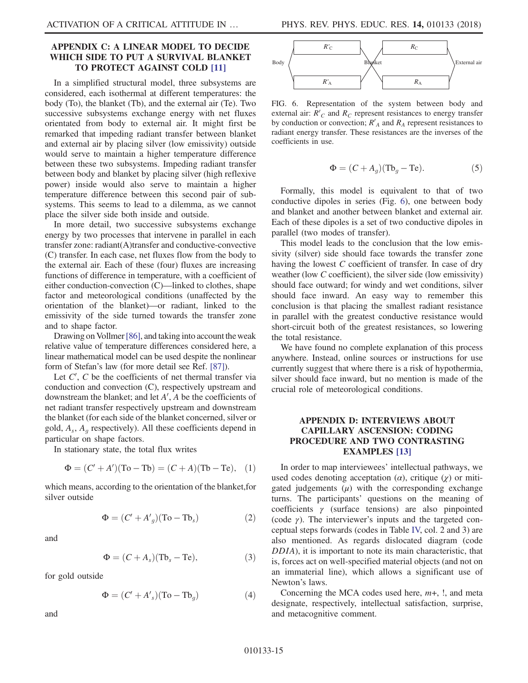#### <span id="page-14-0"></span>APPENDIX C: A LINEAR MODEL TO DECIDE WHICH SIDE TO PUT A SURVIVAL BLANKET TO PROTECT AGAINST COLD [\[11\]](#page-16-10)

In a simplified structural model, three subsystems are considered, each isothermal at different temperatures: the body (To), the blanket (Tb), and the external air (Te). Two successive subsystems exchange energy with net fluxes orientated from body to external air. It might first be remarked that impeding radiant transfer between blanket and external air by placing silver (low emissivity) outside would serve to maintain a higher temperature difference between these two subsystems. Impeding radiant transfer between body and blanket by placing silver (high reflexive power) inside would also serve to maintain a higher temperature difference between this second pair of subsystems. This seems to lead to a dilemma, as we cannot place the silver side both inside and outside.

In more detail, two successive subsystems exchange energy by two processes that intervene in parallel in each transfer zone: radiant(A)transfer and conductive-convective (C) transfer. In each case, net fluxes flow from the body to the external air. Each of these (four) fluxes are increasing functions of difference in temperature, with a coefficient of either conduction-convection (C)—linked to clothes, shape factor and meteorological conditions (unaffected by the orientation of the blanket)—or radiant, linked to the emissivity of the side turned towards the transfer zone and to shape factor.

Drawing on Vollmer[\[86\],](#page-18-14) and taking into account the weak relative value of temperature differences considered here, a linear mathematical model can be used despite the nonlinear form of Stefan's law (for more detail see Ref. [\[87\]](#page-18-15)).

Let  $C'$ ,  $C$  be the coefficients of net thermal transfer via nduction and convection  $(C)$  respectively unstream and conduction and convection (C), respectively upstream and downstream the blanket; and let  $A'$ ,  $A$  be the coefficients of net radiant transfer respectively unstream and downstream net radiant transfer respectively upstream and downstream the blanket (for each side of the blanket concerned, silver or gold,  $A_s$ ,  $A_a$  respectively). All these coefficients depend in particular on shape factors.

In stationary state, the total flux writes

$$
\Phi = (C' + A')(To - Tb) = (C + A)(Tb - Te), (1)
$$

which means, according to the orientation of the blanket,for silver outside

$$
\Phi = (C' + A'_g)(\text{To} - \text{Tb}_s)
$$
 (2)

and

$$
\Phi = (C + A_s)(\text{Tb}_s - \text{Te}),\tag{3}
$$

for gold outside

$$
\Phi = (C' + A'_s)(\text{To} - \text{Tb}_g) \tag{4}
$$

and

<span id="page-14-2"></span>

FIG. 6. Representation of the system between body and external air:  $R'_{C}$  and  $R_{C}$  represent resistances to energy transfer<br>by conduction or convection:  $R'_{C}$  and  $R_{C}$  represent resistances to by conduction or convection;  $R'_A$  and  $R_A$  represent resistances to radiant energy transfer. These resistances are the inverses of the radiant energy transfer. These resistances are the inverses of the coefficients in use.

$$
\Phi = (C + A_g)(\text{Tb}_g - \text{Te}).\tag{5}
$$

Formally, this model is equivalent to that of two conductive dipoles in series (Fig. [6\)](#page-14-2), one between body and blanket and another between blanket and external air. Each of these dipoles is a set of two conductive dipoles in parallel (two modes of transfer).

This model leads to the conclusion that the low emissivity (silver) side should face towards the transfer zone having the lowest C coefficient of transfer. In case of dry weather (low C coefficient), the silver side (low emissivity) should face outward; for windy and wet conditions, silver should face inward. An easy way to remember this conclusion is that placing the smallest radiant resistance in parallel with the greatest conductive resistance would short-circuit both of the greatest resistances, so lowering the total resistance.

We have found no complete explanation of this process anywhere. Instead, online sources or instructions for use currently suggest that where there is a risk of hypothermia, silver should face inward, but no mention is made of the crucial role of meteorological conditions.

### <span id="page-14-1"></span>APPENDIX D: INTERVIEWS ABOUT CAPILLARY ASCENSION: CODING PROCEDURE AND TWO CONTRASTING EXAMPLES [\[13\]](#page-16-12)

In order to map interviewees' intellectual pathways, we used codes denoting acceptation  $(\alpha)$ , critique  $(\gamma)$  or mitigated judgements  $(\mu)$  with the corresponding exchange turns. The participants' questions on the meaning of coefficients  $\gamma$  (surface tensions) are also pinpointed (code  $\gamma$ ). The interviewer's inputs and the targeted conceptual steps forwards (codes in Table [IV,](#page-15-1) col. 2 and 3) are also mentioned. As regards dislocated diagram (code DDIA), it is important to note its main characteristic, that is, forces act on well-specified material objects (and not on an immaterial line), which allows a significant use of Newton's laws.

Concerning the MCA codes used here,  $m+$ ,  $\vdots$ , and meta designate, respectively, intellectual satisfaction, surprise, and metacognitive comment.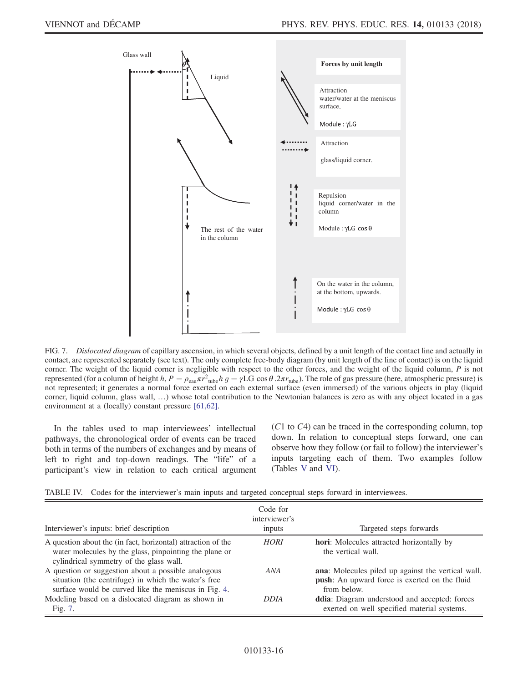<span id="page-15-0"></span>

FIG. 7. Dislocated diagram of capillary ascension, in which several objects, defined by a unit length of the contact line and actually in contact, are represented separately (see text). The only complete free-body diagram (by unit length of the line of contact) is on the liquid corner. The weight of the liquid corner is negligible with respect to the other forces, and the weight of the liquid column,  $P$  is not represented (for a column of height h,  $P = \rho_{\text{eau}} \pi r_{\text{tube}}^2 h g = \gamma LG \cos \theta . 2\pi r_{\text{tube}}$ ). The role of gas pressure (here, atmospheric pressure) is not represented: it generates a normal force exerted on each external surfac not represented; it generates a normal force exerted on each external surface (even immersed) of the various objects in play (liquid corner, liquid column, glass wall, …) whose total contribution to the Newtonian balances is zero as with any object located in a gas environment at a (locally) constant pressure [\[61,62\]](#page-18-3).

In the tables used to map interviewees' intellectual pathways, the chronological order of events can be traced both in terms of the numbers of exchanges and by means of left to right and top-down readings. The "life" of a participant's view in relation to each critical argument (C<sup>1</sup> to C4) can be traced in the corresponding column, top down. In relation to conceptual steps forward, one can observe how they follow (or fail to follow) the interviewer's inputs targeting each of them. Two examples follow (Tables [V](#page-16-17) and [VI\)](#page-16-18).

<span id="page-15-1"></span>

|  |  | TABLE IV. Codes for the interviewer's main inputs and targeted conceptual steps forward in interviewees. |  |  |  |  |  |  |  |  |
|--|--|----------------------------------------------------------------------------------------------------------|--|--|--|--|--|--|--|--|
|--|--|----------------------------------------------------------------------------------------------------------|--|--|--|--|--|--|--|--|

| Interviewer's inputs: brief description                                                                                                                             | Code for<br>interviewer's<br>inputs | Targeted steps forwards                                                                                            |
|---------------------------------------------------------------------------------------------------------------------------------------------------------------------|-------------------------------------|--------------------------------------------------------------------------------------------------------------------|
| A question about the (in fact, horizontal) attraction of the<br>water molecules by the glass, pinpointing the plane or<br>cylindrical symmetry of the glass wall.   | <b>HORI</b>                         | <b>hori:</b> Molecules attracted horizontally by<br>the vertical wall.                                             |
| A question or suggestion about a possible analogous<br>situation (the centrifuge) in which the water's free<br>surface would be curved like the meniscus in Fig. 4. | ANA                                 | ana: Molecules piled up against the vertical wall.<br>push: An upward force is exerted on the fluid<br>from below. |
| Modeling based on a dislocated diagram as shown in<br>Fig. 7.                                                                                                       | <b>DDIA</b>                         | ddia: Diagram understood and accepted: forces<br>exerted on well specified material systems.                       |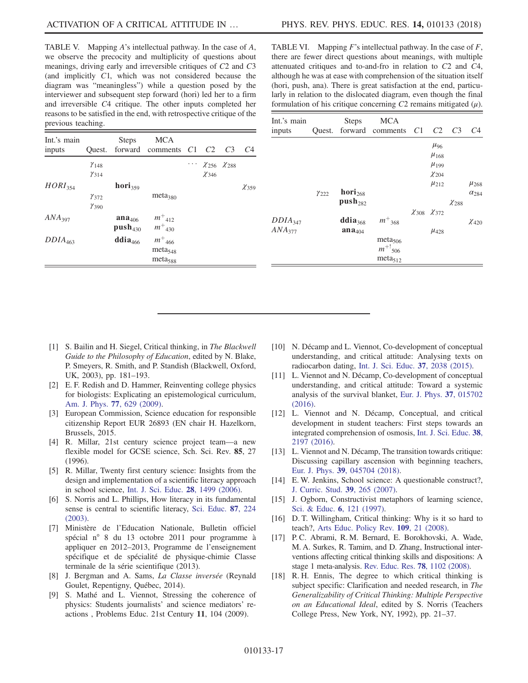<span id="page-16-17"></span>TABLE V. Mapping A's intellectual pathway. In the case of A, we observe the precocity and multiplicity of questions about meanings, driving early and irreversible critiques of C<sup>2</sup> and C<sup>3</sup> (and implicitly C1, which was not considered because the diagram was "meaningless") while a question posed by the interviewer and subsequent step forward (hori) led her to a firm and irreversible C<sup>4</sup> critique. The other inputs completed her reasons to be satisfied in the end, with retrospective critique of the previous teaching.

| Int.'s main<br>inputs |                             | <b>Steps</b>          | <b>MCA</b><br>Quest. forward comments C1 C2 |                                              | C <sub>3</sub> | C4           |
|-----------------------|-----------------------------|-----------------------|---------------------------------------------|----------------------------------------------|----------------|--------------|
|                       | $Y_{148}$<br>$\gamma_{314}$ |                       |                                             | $\cdots \chi_{256} \chi_{288}$<br>$\chi$ 346 |                |              |
| $HORI_{354}$          |                             | $\mathbf{hori}_{359}$ |                                             |                                              |                | $\chi_{359}$ |
|                       | $\gamma_{372}$              |                       | meta <sub>380</sub>                         |                                              |                |              |
|                       | $\gamma_{390}$              |                       |                                             |                                              |                |              |
| ANA <sub>397</sub>    |                             | ana <sub>406</sub>    | $m_{412}^+$                                 |                                              |                |              |
|                       |                             | $push_{430}$          | $m_{430}^+$                                 |                                              |                |              |
| $DDIA_{463}$          |                             | ddia <sub>466</sub>   | $m_{-466}^{+}$                              |                                              |                |              |
|                       |                             |                       | meta <sub>548</sub>                         |                                              |                |              |
|                       |                             |                       | meta <sub>588</sub>                         |                                              |                |              |

<span id="page-16-18"></span>TABLE VI. Mapping  $F$ 's intellectual pathway. In the case of  $F$ , there are fewer direct questions about meanings, with multiple attenuated critiques and to-and-fro in relation to C<sup>2</sup> and C4, although he was at ease with comprehension of the situation itself (hori, push, ana). There is great satisfaction at the end, particularly in relation to the dislocated diagram, even though the final formulation of his critique concerning  $C2$  remains mitigated  $(\mu)$ .

| Int.'s main<br>inputs |                | <b>Steps</b>                | <b>MCA</b><br>Quest. forward comments C1 | C2                         | C <sub>3</sub> | C4             |
|-----------------------|----------------|-----------------------------|------------------------------------------|----------------------------|----------------|----------------|
|                       |                |                             |                                          | $\mu_{96}$                 |                |                |
|                       |                |                             |                                          | $\mu_{168}$<br>$\mu_{199}$ |                |                |
|                       |                |                             |                                          | $\chi_{204}$               |                |                |
|                       |                |                             |                                          | $\mu_{212}$                |                | $\mu_{268}$    |
|                       | $\gamma_{222}$ | $\mathbf{hori}_{268}$       |                                          |                            |                | $\alpha_{284}$ |
|                       |                | $push_{282}$                |                                          |                            | $\chi_{288}$   |                |
|                       |                |                             |                                          | $\chi_{308}$ $\chi_{372}$  |                |                |
| DDIA <sub>347</sub>   |                | ddi <b>a</b> <sub>368</sub> | $m_{-368}^{+}$                           |                            |                | $\chi_{420}$   |
| $ANA_{377}$           |                | $\mathbf{ana}_{404}$        |                                          | $\mu_{428}$                |                |                |
|                       |                |                             | meta <sub>506</sub>                      |                            |                |                |
|                       |                |                             | $m^{+!}$ <sub>506</sub>                  |                            |                |                |
|                       |                |                             | meta <sub>512</sub>                      |                            |                |                |

- <span id="page-16-0"></span>[1] S. Bailin and H. Siegel, Critical thinking, in The Blackwell Guide to the Philosophy of Education, edited by N. Blake, P. Smeyers, R. Smith, and P. Standish (Blackwell, Oxford, UK, 2003), pp. 181–193.
- <span id="page-16-1"></span>[2] E. F. Redish and D. Hammer, Reinventing college physics for biologists: Explicating an epistemological curriculum, [Am. J. Phys.](https://doi.org/10.1119/1.3119150) 77, 629 (2009).
- <span id="page-16-2"></span>[3] European Commission, Science education for responsible citizenship Report EUR 26893 (EN chair H. Hazelkorn, Brussels, 2015.
- <span id="page-16-3"></span>[4] R. Millar, 21st century science project team—a new flexible model for GCSE science, Sch. Sci. Rev. 85, 27 (1996).
- <span id="page-16-4"></span>[5] R. Millar, Twenty first century science: Insights from the design and implementation of a scientific literacy approach in school science, [Int. J. Sci. Educ.](https://doi.org/10.1080/09500690600718344) 28, 1499 (2006).
- <span id="page-16-5"></span>[6] S. Norris and L. Phillips, How literacy in its fundamental sense is central to scientific literacy, [Sci. Educ.](https://doi.org/10.1002/sce.10066) 87, 224 [\(2003\).](https://doi.org/10.1002/sce.10066)
- <span id="page-16-6"></span>[7] Ministère de l'Education Nationale, Bulletin officiel spécial n° 8 du 13 octobre 2011 pour programme à appliquer en 2012–2013, Programme de l'enseignement spécifique et de spécialité de physique-chimie Classe terminale de la série scientifique (2013).
- <span id="page-16-7"></span>[8] J. Bergman and A. Sams, *La Classe inversée* (Reynald Goulet, Repentigny, Québec, 2014).
- <span id="page-16-8"></span>[9] S. Mathé and L. Viennot, Stressing the coherence of physics: Students journalists' and science mediators' reactions , Problems Educ. 21st Century 11, 104 (2009).
- <span id="page-16-9"></span>[10] N. Décamp and L. Viennot, Co-development of conceptual understanding, and critical attitude: Analysing texts on radiocarbon dating, [Int. J. Sci. Educ.](https://doi.org/10.1080/09500693.2015.1061720) 37, 2038 (2015).
- <span id="page-16-10"></span>[11] L. Viennot and N. Décamp, Co-development of conceptual understanding, and critical attitude: Toward a systemic analysis of the survival blanket, [Eur. J. Phys.](https://doi.org/10.1088/0143-0807/37/1/015702) 37, 015702 [\(2016\).](https://doi.org/10.1088/0143-0807/37/1/015702)
- <span id="page-16-11"></span>[12] L. Viennot and N. Décamp, Conceptual, and critical development in student teachers: First steps towards an integrated comprehension of osmosis, [Int. J. Sci. Educ.](https://doi.org/10.1080/09500693.2016.1230793) 38, [2197 \(2016\)](https://doi.org/10.1080/09500693.2016.1230793).
- <span id="page-16-12"></span>[13] L. Viennot and N. Décamp, The transition towards critique: Discussing capillary ascension with beginning teachers, Eur. J. Phys. 39[, 045704 \(2018\)](https://doi.org/10.1088/1361-6404/aab33f).
- <span id="page-16-13"></span>[14] E.W. Jenkins, School science: A questionable construct?, [J. Curric. Stud.](https://doi.org/10.1080/00220270701245295) 39, 265 (2007).
- [15] J. Ogborn, Constructivist metaphors of learning science, [Sci. & Educ.](https://doi.org/10.1023/A:1008642412858) 6, 121 (1997).
- <span id="page-16-14"></span>[16] D. T. Willingham, Critical thinking: Why is it so hard to teach?, [Arts Educ. Policy Rev.](https://doi.org/10.3200/AEPR.109.4.21-32) 109, 21 (2008).
- <span id="page-16-15"></span>[17] P. C. Abrami, R. M. Bernard, E. Borokhovski, A. Wade, M. A. Surkes, R. Tamim, and D. Zhang, Instructional interventions affecting critical thinking skills and dispositions: A stage 1 meta-analysis. [Rev. Educ. Res.](https://doi.org/10.3102/0034654308326084) 78, 1102 (2008).
- <span id="page-16-16"></span>[18] R. H. Ennis, The degree to which critical thinking is subject specific: Clarification and needed research, in The Generalizability of Critical Thinking: Multiple Perspective on an Educational Ideal, edited by S. Norris (Teachers College Press, New York, NY, 1992), pp. 21–37.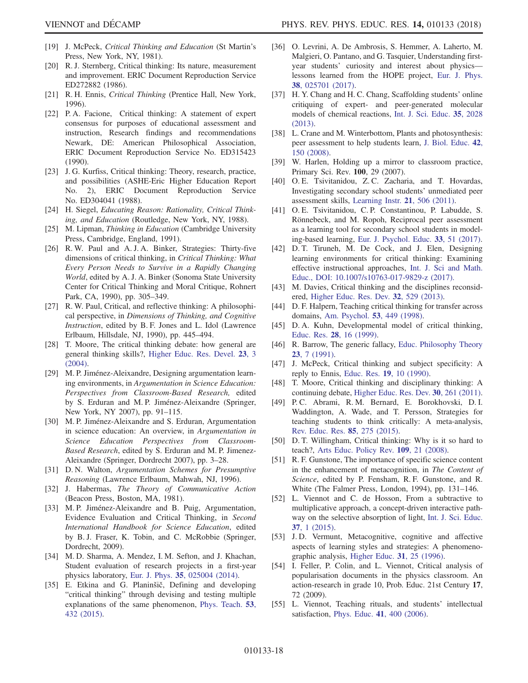- <span id="page-17-0"></span>[19] J. McPeck, Critical Thinking and Education (St Martin's Press, New York, NY, 1981).
- <span id="page-17-1"></span>[20] R. J. Sternberg, Critical thinking: Its nature, measurement and improvement. ERIC Document Reproduction Service ED272882 (1986).
- [21] R. H. Ennis, Critical Thinking (Prentice Hall, New York, 1996).
- [22] P. A. Facione, Critical thinking: A statement of expert consensus for purposes of educational assessment and instruction, Research findings and recommendations Newark, DE: American Philosophical Association, ERIC Document Reproduction Service No. ED315423 (1990).
- [23] J. G. Kurfiss, Critical thinking: Theory, research, practice, and possibilities (ASHE-Eric Higher Education Report No. 2), ERIC Document Reproduction Service No. ED304041 (1988).
- [24] H. Siegel, Educating Reason: Rationality, Critical Thinking, and Education (Routledge, New York, NY, 1988).
- [25] M. Lipman, *Thinking in Education* (Cambridge University Press, Cambridge, England, 1991).
- [26] R. W. Paul and A. J. A. Binker, Strategies: Thirty-five dimensions of critical thinking, in Critical Thinking: What Every Person Needs to Survive in a Rapidly Changing World, edited by A. J. A. Binker (Sonoma State University Center for Critical Thinking and Moral Critique, Rohnert Park, CA, 1990), pp. 305–349.
- [27] R. W. Paul, Critical, and reflective thinking: A philosophical perspective, in Dimensions of Thinking, and Cognitive Instruction, edited by B. F. Jones and L. Idol (Lawrence Erlbaum, Hillsdale, NJ, 1990), pp. 445–494.
- [28] T. Moore, The critical thinking debate: how general are general thinking skills?, [Higher Educ. Res. Devel.](https://doi.org/10.1080/0729436032000168469) 23, 3 [\(2004\).](https://doi.org/10.1080/0729436032000168469)
- <span id="page-17-2"></span>[29] M. P. Jiménez-Aleixandre, Designing argumentation learning environments, in Argumentation in Science Education: Perspectives from Classroom-Based Research, edited by S. Erduran and M. P. Jiménez-Aleixandre (Springer, New York, NY 2007), pp. 91–115.
- <span id="page-17-3"></span>[30] M. P. Jiménez-Aleixandre and S. Erduran, Argumentation in science education: An overview, in Argumentation in Science Education Perspectives from Classroom-Based Research, edited by S. Erduran and M. P. Jimenez-Aleixandre (Springer, Dordrecht 2007), pp. 3–28.
- <span id="page-17-4"></span>[31] D. N. Walton, Argumentation Schemes for Presumptive Reasoning (Lawrence Erlbaum, Mahwah, NJ, 1996).
- <span id="page-17-5"></span>[32] J. Habermas, The Theory of Communicative Action (Beacon Press, Boston, MA, 1981).
- [33] M. P. Jiménez-Aleixandre and B. Puig, Argumentation, Evidence Evaluation and Critical Thinking, in Second International Handbook for Science Education, edited by B. J. Fraser, K. Tobin, and C. McRobbie (Springer, Dordrecht, 2009).
- [34] M. D. Sharma, A. Mendez, I. M. Sefton, and J. Khachan, Student evaluation of research projects in a first-year physics laboratory, Eur. J. Phys. 35[, 025004 \(2014\).](https://doi.org/10.1088/0143-0807/35/2/025004)
- [35] E. Etkina and G. Planinšič, Defining and developing "critical thinking" through devising and testing multiple explanations of the same phenomenon, [Phys. Teach.](https://doi.org/10.1119/1.4931014) 53, [432 \(2015\)](https://doi.org/10.1119/1.4931014).
- [36] O. Levrini, A. De Ambrosis, S. Hemmer, A. Laherto, M. Malgieri, O. Pantano, and G. Tasquier, Understanding firstyear students' curiosity and interest about physics lessons learned from the HOPE project, [Eur. J. Phys.](https://doi.org/10.1088/1361-6404/38/2/025701) 38[, 025701 \(2017\).](https://doi.org/10.1088/1361-6404/38/2/025701)
- <span id="page-17-6"></span>[37] H. Y. Chang and H. C. Chang, Scaffolding students' online critiquing of expert- and peer-generated molecular models of chemical reactions, [Int. J. Sci. Educ.](https://doi.org/10.1080/09500693.2012.733978) 35, 2028 [\(2013\).](https://doi.org/10.1080/09500693.2012.733978)
- <span id="page-17-7"></span>[38] L. Crane and M. Winterbottom, Plants and photosynthesis: peer assessment to help students learn, [J. Biol. Educ.](https://doi.org/10.1080/00219266.2008.9656133) 42, [150 \(2008\)](https://doi.org/10.1080/00219266.2008.9656133).
- [39] W. Harlen, Holding up a mirror to classroom practice, Primary Sci. Rev. 100, 29 (2007).
- [40] O. E. Tsivitanidou, Z. C. Zacharia, and T. Hovardas, Investigating secondary school students' unmediated peer assessment skills, [Learning Instr.](https://doi.org/10.1016/j.learninstruc.2010.08.002) 21, 506 (2011).
- [41] O. E. Tsivitanidou, C. P. Constantinou, P. Labudde, S. Rönnebeck, and M. Ropoh, Reciprocal peer assessment as a learning tool for secondary school students in modeling-based learning, [Eur. J. Psychol. Educ.](https://doi.org/10.1007/s10212-017-0341-1) 33, 51 (2017).
- <span id="page-17-8"></span>[42] D. T. Tiruneh, M. De Cock, and J. Elen, Designing learning environments for critical thinking: Examining effective instructional approaches, [Int. J. Sci and Math.](https://doi.org/10.1007/s10763-017-9829-z) [Educ., DOI: 10.1007/s10763-017-9829-z \(2017\).](https://doi.org/10.1007/s10763-017-9829-z)
- <span id="page-17-9"></span>[43] M. Davies, Critical thinking and the disciplines reconsidered, [Higher Educ. Res. Dev.](https://doi.org/10.1080/07294360.2012.697878) 32, 529 (2013).
- [44] D. F. Halpern, Teaching critical thinking for transfer across domains, [Am. Psychol.](https://doi.org/10.1037/0003-066X.53.4.449) 53, 449 (1998).
- [45] D. A. Kuhn, Developmental model of critical thinking, Educ. Res. 28[, 16 \(1999\).](https://doi.org/10.3102/0013189X028002016)
- <span id="page-17-10"></span>[46] R. Barrow, The generic fallacy, [Educ. Philosophy Theory](https://doi.org/10.1111/j.1469-5812.1991.tb00172.x) 23[, 7 \(1991\)](https://doi.org/10.1111/j.1469-5812.1991.tb00172.x).
- [47] J. McPeck, Critical thinking and subject specificity: A reply to Ennis, Educ. Res. 19[, 10 \(1990\)](https://doi.org/10.3102/0013189X019004010).
- [48] T. Moore, Critical thinking and disciplinary thinking: A continuing debate, [Higher Educ. Res. Dev.](https://doi.org/10.1080/07294360.2010.501328) 30, 261 (2011).
- [49] P. C. Abrami, R. M. Bernard, E. Borokhovski, D. I. Waddington, A. Wade, and T. Persson, Strategies for teaching students to think critically: A meta-analysis, [Rev. Educ. Res.](https://doi.org/10.3102/0034654314551063) 85, 275 (2015).
- <span id="page-17-11"></span>[50] D. T. Willingham, Critical thinking: Why is it so hard to teach?, [Arts Educ. Policy Rev.](https://doi.org/10.3200/AEPR.109.4.21-32) 109, 21 (2008).
- <span id="page-17-12"></span>[51] R. F. Gunstone, The importance of specific science content in the enhancement of metacognition, in The Content of Science, edited by P. Fensham, R. F. Gunstone, and R. White (The Falmer Press, London, 1994), pp. 131–146.
- <span id="page-17-13"></span>[52] L. Viennot and C. de Hosson, From a subtractive to multiplicative approach, a concept-driven interactive pathway on the selective absorption of light, [Int. J. Sci. Educ.](https://doi.org/10.1080/09500693.2014.950186) 37[, 1 \(2015\)](https://doi.org/10.1080/09500693.2014.950186).
- <span id="page-17-14"></span>[53] J.D. Vermunt, Metacognitive, cognitive and affective aspects of learning styles and strategies: A phenomenographic analysis, [Higher Educ.](https://doi.org/10.1007/BF00129106) 31, 25 (1996).
- [54] I. Feller, P. Colin, and L. Viennot, Critical analysis of popularisation documents in the physics classroom. An action-research in grade 10, Prob. Educ. 21st Century 17, 72 (2009).
- <span id="page-17-15"></span>[55] L. Viennot, Teaching rituals, and students' intellectual satisfaction, Phys. Educ. 41[, 400 \(2006\)](https://doi.org/10.1088/0031-9120/41/5/004).